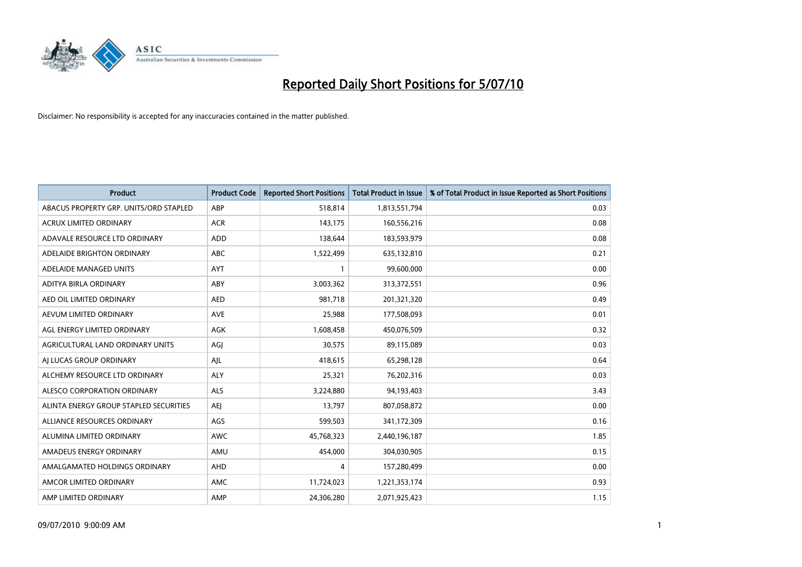

| <b>Product</b>                         | <b>Product Code</b> | <b>Reported Short Positions</b> | <b>Total Product in Issue</b> | % of Total Product in Issue Reported as Short Positions |
|----------------------------------------|---------------------|---------------------------------|-------------------------------|---------------------------------------------------------|
| ABACUS PROPERTY GRP. UNITS/ORD STAPLED | ABP                 | 518,814                         | 1,813,551,794                 | 0.03                                                    |
| ACRUX LIMITED ORDINARY                 | <b>ACR</b>          | 143,175                         | 160,556,216                   | 0.08                                                    |
| ADAVALE RESOURCE LTD ORDINARY          | ADD                 | 138,644                         | 183,593,979                   | 0.08                                                    |
| ADELAIDE BRIGHTON ORDINARY             | <b>ABC</b>          | 1,522,499                       | 635,132,810                   | 0.21                                                    |
| ADELAIDE MANAGED UNITS                 | <b>AYT</b>          |                                 | 99,600,000                    | 0.00                                                    |
| ADITYA BIRLA ORDINARY                  | ABY                 | 3,003,362                       | 313,372,551                   | 0.96                                                    |
| AED OIL LIMITED ORDINARY               | <b>AED</b>          | 981.718                         | 201,321,320                   | 0.49                                                    |
| AEVUM LIMITED ORDINARY                 | <b>AVE</b>          | 25,988                          | 177,508,093                   | 0.01                                                    |
| AGL ENERGY LIMITED ORDINARY            | <b>AGK</b>          | 1,608,458                       | 450,076,509                   | 0.32                                                    |
| AGRICULTURAL LAND ORDINARY UNITS       | AGI                 | 30,575                          | 89,115,089                    | 0.03                                                    |
| AI LUCAS GROUP ORDINARY                | AJL                 | 418,615                         | 65,298,128                    | 0.64                                                    |
| ALCHEMY RESOURCE LTD ORDINARY          | ALY                 | 25,321                          | 76,202,316                    | 0.03                                                    |
| ALESCO CORPORATION ORDINARY            | <b>ALS</b>          | 3,224,880                       | 94,193,403                    | 3.43                                                    |
| ALINTA ENERGY GROUP STAPLED SECURITIES | <b>AEI</b>          | 13,797                          | 807,058,872                   | 0.00                                                    |
| ALLIANCE RESOURCES ORDINARY            | AGS                 | 599,503                         | 341,172,309                   | 0.16                                                    |
| ALUMINA LIMITED ORDINARY               | AWC                 | 45,768,323                      | 2,440,196,187                 | 1.85                                                    |
| AMADEUS ENERGY ORDINARY                | AMU                 | 454,000                         | 304,030,905                   | 0.15                                                    |
| AMALGAMATED HOLDINGS ORDINARY          | AHD                 | 4                               | 157,280,499                   | 0.00                                                    |
| AMCOR LIMITED ORDINARY                 | AMC                 | 11,724,023                      | 1,221,353,174                 | 0.93                                                    |
| AMP LIMITED ORDINARY                   | AMP                 | 24,306,280                      | 2,071,925,423                 | 1.15                                                    |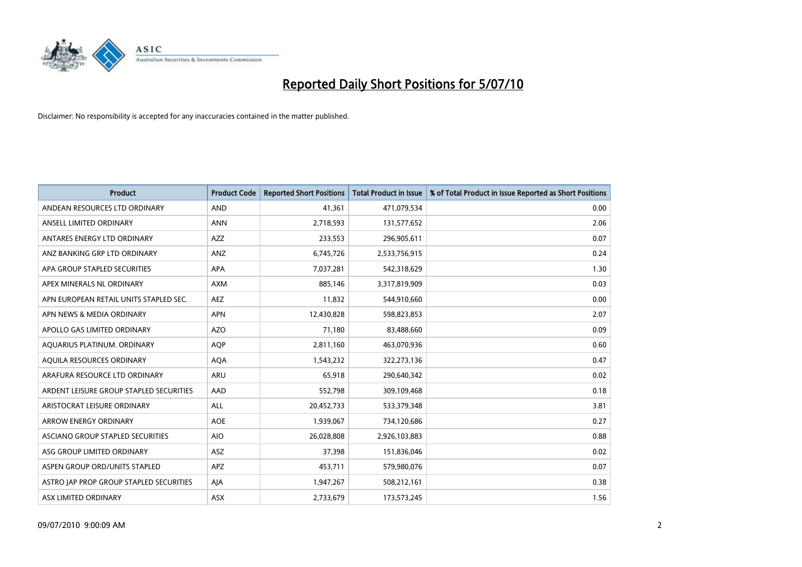

| <b>Product</b>                          | <b>Product Code</b> | <b>Reported Short Positions</b> | Total Product in Issue | % of Total Product in Issue Reported as Short Positions |
|-----------------------------------------|---------------------|---------------------------------|------------------------|---------------------------------------------------------|
| ANDEAN RESOURCES LTD ORDINARY           | <b>AND</b>          | 41,361                          | 471,079,534            | 0.00                                                    |
| ANSELL LIMITED ORDINARY                 | <b>ANN</b>          | 2,718,593                       | 131,577,652            | 2.06                                                    |
| ANTARES ENERGY LTD ORDINARY             | <b>AZZ</b>          | 233,553                         | 296,905,611            | 0.07                                                    |
| ANZ BANKING GRP LTD ORDINARY            | ANZ                 | 6,745,726                       | 2,533,756,915          | 0.24                                                    |
| APA GROUP STAPLED SECURITIES            | APA                 | 7,037,281                       | 542,318,629            | 1.30                                                    |
| APEX MINERALS NL ORDINARY               | <b>AXM</b>          | 885,146                         | 3,317,819,909          | 0.03                                                    |
| APN EUROPEAN RETAIL UNITS STAPLED SEC.  | <b>AEZ</b>          | 11,832                          | 544,910,660            | 0.00                                                    |
| APN NEWS & MEDIA ORDINARY               | <b>APN</b>          | 12,430,828                      | 598,823,853            | 2.07                                                    |
| APOLLO GAS LIMITED ORDINARY             | <b>AZO</b>          | 71,180                          | 83,488,660             | 0.09                                                    |
| AQUARIUS PLATINUM. ORDINARY             | <b>AOP</b>          | 2,811,160                       | 463,070,936            | 0.60                                                    |
| AQUILA RESOURCES ORDINARY               | <b>AQA</b>          | 1,543,232                       | 322,273,136            | 0.47                                                    |
| ARAFURA RESOURCE LTD ORDINARY           | <b>ARU</b>          | 65,918                          | 290,640,342            | 0.02                                                    |
| ARDENT LEISURE GROUP STAPLED SECURITIES | AAD                 | 552,798                         | 309,109,468            | 0.18                                                    |
| ARISTOCRAT LEISURE ORDINARY             | ALL                 | 20,452,733                      | 533,379,348            | 3.81                                                    |
| <b>ARROW ENERGY ORDINARY</b>            | <b>AOE</b>          | 1,939,067                       | 734,120,686            | 0.27                                                    |
| ASCIANO GROUP STAPLED SECURITIES        | <b>AIO</b>          | 26,028,808                      | 2,926,103,883          | 0.88                                                    |
| ASG GROUP LIMITED ORDINARY              | ASZ                 | 37,398                          | 151,836,046            | 0.02                                                    |
| ASPEN GROUP ORD/UNITS STAPLED           | <b>APZ</b>          | 453,711                         | 579,980,076            | 0.07                                                    |
| ASTRO JAP PROP GROUP STAPLED SECURITIES | AJA                 | 1,947,267                       | 508,212,161            | 0.38                                                    |
| ASX LIMITED ORDINARY                    | ASX                 | 2,733,679                       | 173,573,245            | 1.56                                                    |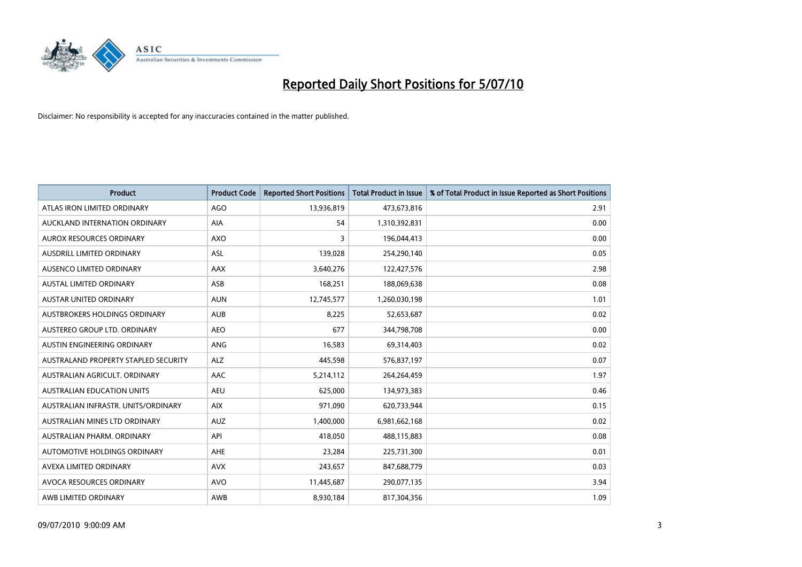

| <b>Product</b>                       | <b>Product Code</b> | <b>Reported Short Positions</b> | <b>Total Product in Issue</b> | % of Total Product in Issue Reported as Short Positions |
|--------------------------------------|---------------------|---------------------------------|-------------------------------|---------------------------------------------------------|
| ATLAS IRON LIMITED ORDINARY          | <b>AGO</b>          | 13,936,819                      | 473,673,816                   | 2.91                                                    |
| AUCKLAND INTERNATION ORDINARY        | AIA                 | 54                              | 1,310,392,831                 | 0.00                                                    |
| <b>AUROX RESOURCES ORDINARY</b>      | <b>AXO</b>          | 3                               | 196,044,413                   | 0.00                                                    |
| AUSDRILL LIMITED ORDINARY            | ASL                 | 139,028                         | 254,290,140                   | 0.05                                                    |
| AUSENCO LIMITED ORDINARY             | <b>AAX</b>          | 3,640,276                       | 122,427,576                   | 2.98                                                    |
| <b>AUSTAL LIMITED ORDINARY</b>       | ASB                 | 168,251                         | 188,069,638                   | 0.08                                                    |
| <b>AUSTAR UNITED ORDINARY</b>        | <b>AUN</b>          | 12,745,577                      | 1,260,030,198                 | 1.01                                                    |
| AUSTBROKERS HOLDINGS ORDINARY        | <b>AUB</b>          | 8,225                           | 52,653,687                    | 0.02                                                    |
| AUSTEREO GROUP LTD. ORDINARY         | <b>AEO</b>          | 677                             | 344,798,708                   | 0.00                                                    |
| AUSTIN ENGINEERING ORDINARY          | ANG                 | 16,583                          | 69,314,403                    | 0.02                                                    |
| AUSTRALAND PROPERTY STAPLED SECURITY | <b>ALZ</b>          | 445,598                         | 576,837,197                   | 0.07                                                    |
| AUSTRALIAN AGRICULT, ORDINARY        | AAC                 | 5,214,112                       | 264,264,459                   | 1.97                                                    |
| <b>AUSTRALIAN EDUCATION UNITS</b>    | <b>AEU</b>          | 625.000                         | 134,973,383                   | 0.46                                                    |
| AUSTRALIAN INFRASTR, UNITS/ORDINARY  | <b>AIX</b>          | 971.090                         | 620,733,944                   | 0.15                                                    |
| AUSTRALIAN MINES LTD ORDINARY        | <b>AUZ</b>          | 1,400,000                       | 6,981,662,168                 | 0.02                                                    |
| AUSTRALIAN PHARM, ORDINARY           | API                 | 418,050                         | 488,115,883                   | 0.08                                                    |
| AUTOMOTIVE HOLDINGS ORDINARY         | <b>AHE</b>          | 23,284                          | 225,731,300                   | 0.01                                                    |
| AVEXA LIMITED ORDINARY               | <b>AVX</b>          | 243,657                         | 847,688,779                   | 0.03                                                    |
| AVOCA RESOURCES ORDINARY             | <b>AVO</b>          | 11,445,687                      | 290,077,135                   | 3.94                                                    |
| AWB LIMITED ORDINARY                 | <b>AWB</b>          | 8,930,184                       | 817,304,356                   | 1.09                                                    |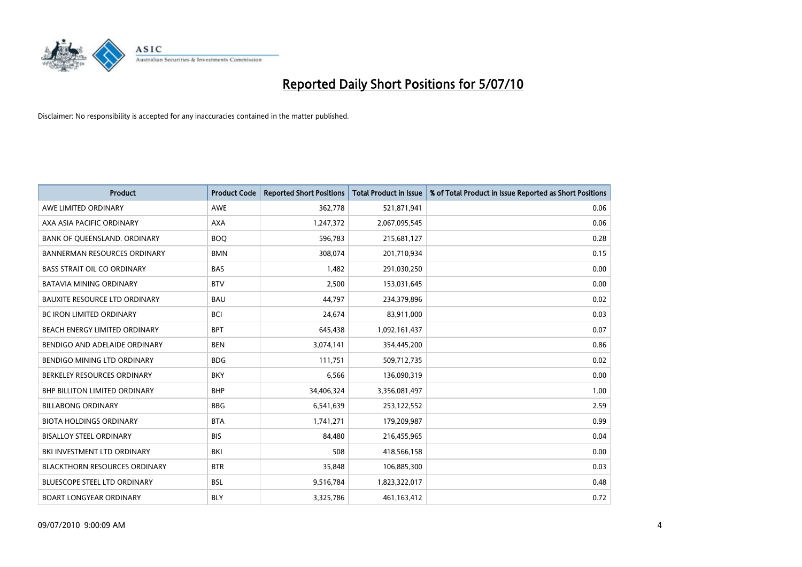

| <b>Product</b>                       | <b>Product Code</b> | <b>Reported Short Positions</b> | Total Product in Issue | % of Total Product in Issue Reported as Short Positions |
|--------------------------------------|---------------------|---------------------------------|------------------------|---------------------------------------------------------|
| AWE LIMITED ORDINARY                 | <b>AWE</b>          | 362,778                         | 521,871,941            | 0.06                                                    |
| AXA ASIA PACIFIC ORDINARY            | <b>AXA</b>          | 1,247,372                       | 2,067,095,545          | 0.06                                                    |
| BANK OF QUEENSLAND. ORDINARY         | <b>BOO</b>          | 596,783                         | 215,681,127            | 0.28                                                    |
| <b>BANNERMAN RESOURCES ORDINARY</b>  | <b>BMN</b>          | 308,074                         | 201,710,934            | 0.15                                                    |
| <b>BASS STRAIT OIL CO ORDINARY</b>   | <b>BAS</b>          | 1.482                           | 291,030,250            | 0.00                                                    |
| <b>BATAVIA MINING ORDINARY</b>       | <b>BTV</b>          | 2,500                           | 153,031,645            | 0.00                                                    |
| <b>BAUXITE RESOURCE LTD ORDINARY</b> | <b>BAU</b>          | 44.797                          | 234,379,896            | 0.02                                                    |
| <b>BC IRON LIMITED ORDINARY</b>      | <b>BCI</b>          | 24,674                          | 83,911,000             | 0.03                                                    |
| BEACH ENERGY LIMITED ORDINARY        | <b>BPT</b>          | 645,438                         | 1,092,161,437          | 0.07                                                    |
| BENDIGO AND ADELAIDE ORDINARY        | <b>BEN</b>          | 3,074,141                       | 354,445,200            | 0.86                                                    |
| BENDIGO MINING LTD ORDINARY          | <b>BDG</b>          | 111,751                         | 509,712,735            | 0.02                                                    |
| BERKELEY RESOURCES ORDINARY          | <b>BKY</b>          | 6,566                           | 136,090,319            | 0.00                                                    |
| <b>BHP BILLITON LIMITED ORDINARY</b> | <b>BHP</b>          | 34,406,324                      | 3,356,081,497          | 1.00                                                    |
| <b>BILLABONG ORDINARY</b>            | <b>BBG</b>          | 6,541,639                       | 253,122,552            | 2.59                                                    |
| <b>BIOTA HOLDINGS ORDINARY</b>       | <b>BTA</b>          | 1,741,271                       | 179,209,987            | 0.99                                                    |
| <b>BISALLOY STEEL ORDINARY</b>       | <b>BIS</b>          | 84.480                          | 216,455,965            | 0.04                                                    |
| BKI INVESTMENT LTD ORDINARY          | BKI                 | 508                             | 418,566,158            | 0.00                                                    |
| <b>BLACKTHORN RESOURCES ORDINARY</b> | <b>BTR</b>          | 35,848                          | 106,885,300            | 0.03                                                    |
| <b>BLUESCOPE STEEL LTD ORDINARY</b>  | <b>BSL</b>          | 9,516,784                       | 1,823,322,017          | 0.48                                                    |
| <b>BOART LONGYEAR ORDINARY</b>       | <b>BLY</b>          | 3,325,786                       | 461,163,412            | 0.72                                                    |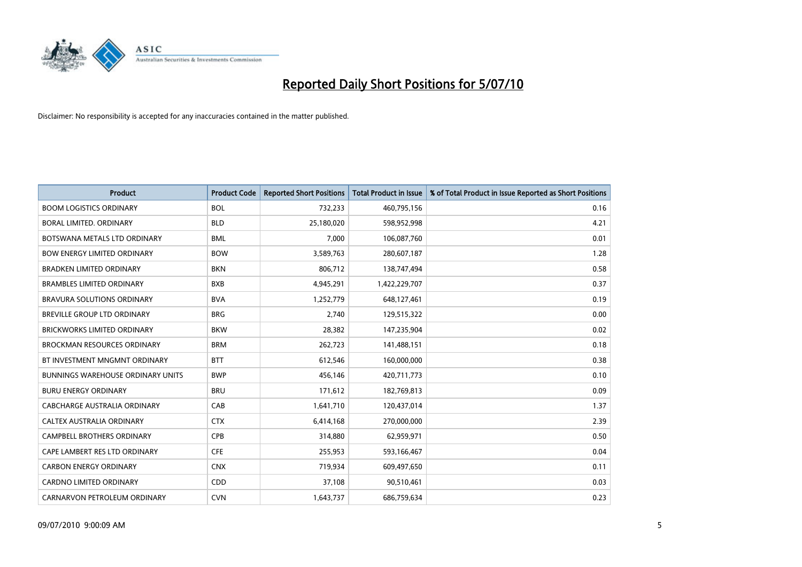

| <b>Product</b>                           | <b>Product Code</b> | <b>Reported Short Positions</b> | Total Product in Issue | % of Total Product in Issue Reported as Short Positions |
|------------------------------------------|---------------------|---------------------------------|------------------------|---------------------------------------------------------|
| <b>BOOM LOGISTICS ORDINARY</b>           | <b>BOL</b>          | 732,233                         | 460,795,156            | 0.16                                                    |
| BORAL LIMITED, ORDINARY                  | <b>BLD</b>          | 25,180,020                      | 598,952,998            | 4.21                                                    |
| BOTSWANA METALS LTD ORDINARY             | <b>BML</b>          | 7,000                           | 106,087,760            | 0.01                                                    |
| <b>BOW ENERGY LIMITED ORDINARY</b>       | <b>BOW</b>          | 3,589,763                       | 280,607,187            | 1.28                                                    |
| <b>BRADKEN LIMITED ORDINARY</b>          | <b>BKN</b>          | 806.712                         | 138,747,494            | 0.58                                                    |
| <b>BRAMBLES LIMITED ORDINARY</b>         | <b>BXB</b>          | 4,945,291                       | 1,422,229,707          | 0.37                                                    |
| <b>BRAVURA SOLUTIONS ORDINARY</b>        | <b>BVA</b>          | 1,252,779                       | 648,127,461            | 0.19                                                    |
| <b>BREVILLE GROUP LTD ORDINARY</b>       | <b>BRG</b>          | 2,740                           | 129,515,322            | 0.00                                                    |
| <b>BRICKWORKS LIMITED ORDINARY</b>       | <b>BKW</b>          | 28,382                          | 147,235,904            | 0.02                                                    |
| <b>BROCKMAN RESOURCES ORDINARY</b>       | <b>BRM</b>          | 262,723                         | 141,488,151            | 0.18                                                    |
| BT INVESTMENT MNGMNT ORDINARY            | <b>BTT</b>          | 612,546                         | 160,000,000            | 0.38                                                    |
| <b>BUNNINGS WAREHOUSE ORDINARY UNITS</b> | <b>BWP</b>          | 456,146                         | 420,711,773            | 0.10                                                    |
| <b>BURU ENERGY ORDINARY</b>              | <b>BRU</b>          | 171,612                         | 182,769,813            | 0.09                                                    |
| <b>CABCHARGE AUSTRALIA ORDINARY</b>      | CAB                 | 1,641,710                       | 120,437,014            | 1.37                                                    |
| CALTEX AUSTRALIA ORDINARY                | <b>CTX</b>          | 6,414,168                       | 270,000,000            | 2.39                                                    |
| <b>CAMPBELL BROTHERS ORDINARY</b>        | <b>CPB</b>          | 314,880                         | 62,959,971             | 0.50                                                    |
| CAPE LAMBERT RES LTD ORDINARY            | <b>CFE</b>          | 255,953                         | 593,166,467            | 0.04                                                    |
| <b>CARBON ENERGY ORDINARY</b>            | <b>CNX</b>          | 719,934                         | 609,497,650            | 0.11                                                    |
| <b>CARDNO LIMITED ORDINARY</b>           | CDD                 | 37,108                          | 90,510,461             | 0.03                                                    |
| CARNARVON PETROLEUM ORDINARY             | <b>CVN</b>          | 1,643,737                       | 686,759,634            | 0.23                                                    |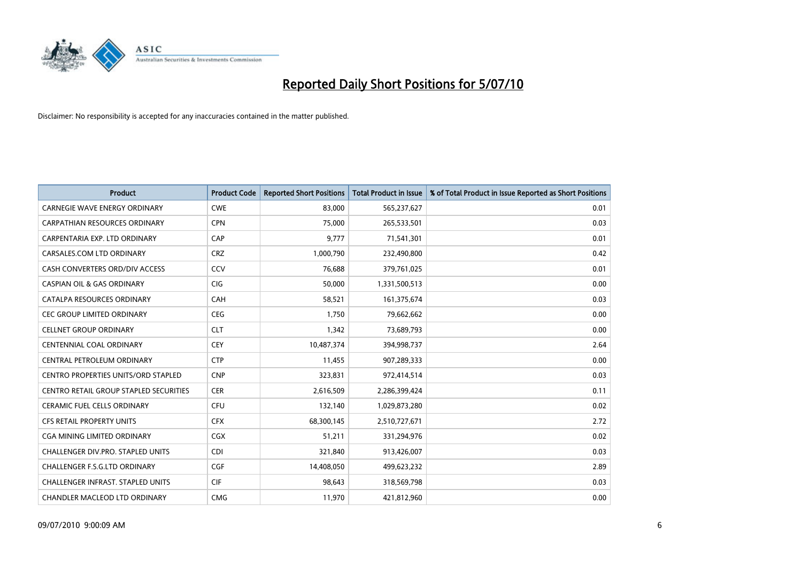

| <b>Product</b>                                | <b>Product Code</b> | <b>Reported Short Positions</b> | Total Product in Issue | % of Total Product in Issue Reported as Short Positions |
|-----------------------------------------------|---------------------|---------------------------------|------------------------|---------------------------------------------------------|
| <b>CARNEGIE WAVE ENERGY ORDINARY</b>          | <b>CWE</b>          | 83,000                          | 565,237,627            | 0.01                                                    |
| <b>CARPATHIAN RESOURCES ORDINARY</b>          | <b>CPN</b>          | 75.000                          | 265,533,501            | 0.03                                                    |
| CARPENTARIA EXP. LTD ORDINARY                 | CAP                 | 9,777                           | 71,541,301             | 0.01                                                    |
| CARSALES.COM LTD ORDINARY                     | <b>CRZ</b>          | 1,000,790                       | 232,490,800            | 0.42                                                    |
| CASH CONVERTERS ORD/DIV ACCESS                | CCV                 | 76.688                          | 379,761,025            | 0.01                                                    |
| <b>CASPIAN OIL &amp; GAS ORDINARY</b>         | <b>CIG</b>          | 50,000                          | 1,331,500,513          | 0.00                                                    |
| CATALPA RESOURCES ORDINARY                    | CAH                 | 58,521                          | 161,375,674            | 0.03                                                    |
| <b>CEC GROUP LIMITED ORDINARY</b>             | <b>CEG</b>          | 1,750                           | 79,662,662             | 0.00                                                    |
| <b>CELLNET GROUP ORDINARY</b>                 | <b>CLT</b>          | 1,342                           | 73,689,793             | 0.00                                                    |
| <b>CENTENNIAL COAL ORDINARY</b>               | <b>CEY</b>          | 10,487,374                      | 394,998,737            | 2.64                                                    |
| CENTRAL PETROLEUM ORDINARY                    | <b>CTP</b>          | 11,455                          | 907,289,333            | 0.00                                                    |
| <b>CENTRO PROPERTIES UNITS/ORD STAPLED</b>    | <b>CNP</b>          | 323,831                         | 972,414,514            | 0.03                                                    |
| <b>CENTRO RETAIL GROUP STAPLED SECURITIES</b> | <b>CER</b>          | 2,616,509                       | 2,286,399,424          | 0.11                                                    |
| <b>CERAMIC FUEL CELLS ORDINARY</b>            | <b>CFU</b>          | 132,140                         | 1,029,873,280          | 0.02                                                    |
| CFS RETAIL PROPERTY UNITS                     | <b>CFX</b>          | 68,300,145                      | 2,510,727,671          | 2.72                                                    |
| CGA MINING LIMITED ORDINARY                   | <b>CGX</b>          | 51,211                          | 331,294,976            | 0.02                                                    |
| <b>CHALLENGER DIV.PRO. STAPLED UNITS</b>      | <b>CDI</b>          | 321,840                         | 913,426,007            | 0.03                                                    |
| CHALLENGER F.S.G.LTD ORDINARY                 | <b>CGF</b>          | 14,408,050                      | 499,623,232            | 2.89                                                    |
| <b>CHALLENGER INFRAST, STAPLED UNITS</b>      | <b>CIF</b>          | 98,643                          | 318,569,798            | 0.03                                                    |
| CHANDLER MACLEOD LTD ORDINARY                 | <b>CMG</b>          | 11,970                          | 421,812,960            | 0.00                                                    |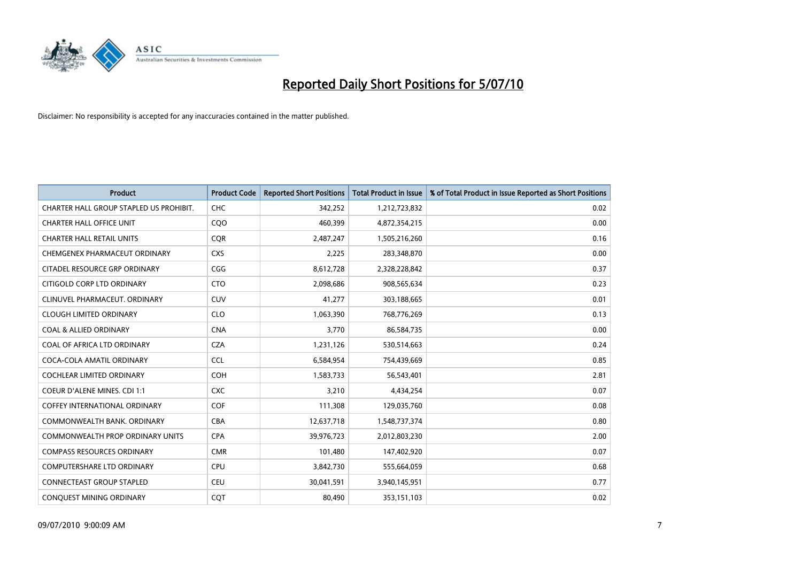

| <b>Product</b>                          | <b>Product Code</b> | <b>Reported Short Positions</b> | <b>Total Product in Issue</b> | % of Total Product in Issue Reported as Short Positions |
|-----------------------------------------|---------------------|---------------------------------|-------------------------------|---------------------------------------------------------|
| CHARTER HALL GROUP STAPLED US PROHIBIT. | <b>CHC</b>          | 342,252                         | 1,212,723,832                 | 0.02                                                    |
| <b>CHARTER HALL OFFICE UNIT</b>         | COO                 | 460,399                         | 4,872,354,215                 | 0.00                                                    |
| <b>CHARTER HALL RETAIL UNITS</b>        | <b>COR</b>          | 2,487,247                       | 1,505,216,260                 | 0.16                                                    |
| CHEMGENEX PHARMACEUT ORDINARY           | <b>CXS</b>          | 2,225                           | 283,348,870                   | 0.00                                                    |
| CITADEL RESOURCE GRP ORDINARY           | CGG                 | 8,612,728                       | 2,328,228,842                 | 0.37                                                    |
| CITIGOLD CORP LTD ORDINARY              | <b>CTO</b>          | 2,098,686                       | 908,565,634                   | 0.23                                                    |
| CLINUVEL PHARMACEUT, ORDINARY           | <b>CUV</b>          | 41,277                          | 303,188,665                   | 0.01                                                    |
| <b>CLOUGH LIMITED ORDINARY</b>          | <b>CLO</b>          | 1,063,390                       | 768,776,269                   | 0.13                                                    |
| <b>COAL &amp; ALLIED ORDINARY</b>       | <b>CNA</b>          | 3,770                           | 86,584,735                    | 0.00                                                    |
| COAL OF AFRICA LTD ORDINARY             | <b>CZA</b>          | 1,231,126                       | 530,514,663                   | 0.24                                                    |
| COCA-COLA AMATIL ORDINARY               | <b>CCL</b>          | 6,584,954                       | 754,439,669                   | 0.85                                                    |
| <b>COCHLEAR LIMITED ORDINARY</b>        | COH                 | 1,583,733                       | 56,543,401                    | 2.81                                                    |
| <b>COEUR D'ALENE MINES. CDI 1:1</b>     | <b>CXC</b>          | 3,210                           | 4,434,254                     | 0.07                                                    |
| <b>COFFEY INTERNATIONAL ORDINARY</b>    | COF                 | 111,308                         | 129,035,760                   | 0.08                                                    |
| COMMONWEALTH BANK, ORDINARY             | <b>CBA</b>          | 12,637,718                      | 1,548,737,374                 | 0.80                                                    |
| <b>COMMONWEALTH PROP ORDINARY UNITS</b> | <b>CPA</b>          | 39,976,723                      | 2,012,803,230                 | 2.00                                                    |
| <b>COMPASS RESOURCES ORDINARY</b>       | <b>CMR</b>          | 101,480                         | 147,402,920                   | 0.07                                                    |
| COMPUTERSHARE LTD ORDINARY              | CPU                 | 3,842,730                       | 555,664,059                   | 0.68                                                    |
| <b>CONNECTEAST GROUP STAPLED</b>        | <b>CEU</b>          | 30,041,591                      | 3,940,145,951                 | 0.77                                                    |
| CONQUEST MINING ORDINARY                | COT                 | 80,490                          | 353,151,103                   | 0.02                                                    |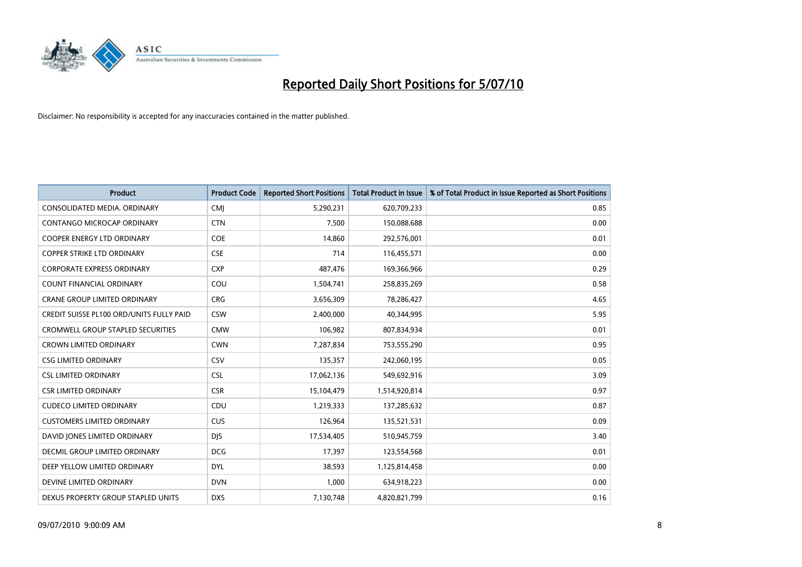

| <b>Product</b>                                  | <b>Product Code</b> | <b>Reported Short Positions</b> | <b>Total Product in Issue</b> | % of Total Product in Issue Reported as Short Positions |
|-------------------------------------------------|---------------------|---------------------------------|-------------------------------|---------------------------------------------------------|
| CONSOLIDATED MEDIA, ORDINARY                    | <b>CMI</b>          | 5,290,231                       | 620,709,233                   | 0.85                                                    |
| CONTANGO MICROCAP ORDINARY                      | <b>CTN</b>          | 7,500                           | 150,088,688                   | 0.00                                                    |
| <b>COOPER ENERGY LTD ORDINARY</b>               | <b>COE</b>          | 14,860                          | 292,576,001                   | 0.01                                                    |
| <b>COPPER STRIKE LTD ORDINARY</b>               | <b>CSE</b>          | 714                             | 116,455,571                   | 0.00                                                    |
| <b>CORPORATE EXPRESS ORDINARY</b>               | <b>CXP</b>          | 487,476                         | 169,366,966                   | 0.29                                                    |
| <b>COUNT FINANCIAL ORDINARY</b>                 | COU                 | 1,504,741                       | 258,835,269                   | 0.58                                                    |
| <b>CRANE GROUP LIMITED ORDINARY</b>             | <b>CRG</b>          | 3,656,309                       | 78,286,427                    | 4.65                                                    |
| <b>CREDIT SUISSE PL100 ORD/UNITS FULLY PAID</b> | <b>CSW</b>          | 2,400,000                       | 40,344,995                    | 5.95                                                    |
| CROMWELL GROUP STAPLED SECURITIES               | <b>CMW</b>          | 106,982                         | 807,834,934                   | 0.01                                                    |
| <b>CROWN LIMITED ORDINARY</b>                   | <b>CWN</b>          | 7,287,834                       | 753,555,290                   | 0.95                                                    |
| <b>CSG LIMITED ORDINARY</b>                     | CSV                 | 135,357                         | 242,060,195                   | 0.05                                                    |
| <b>CSL LIMITED ORDINARY</b>                     | <b>CSL</b>          | 17,062,136                      | 549,692,916                   | 3.09                                                    |
| <b>CSR LIMITED ORDINARY</b>                     | <b>CSR</b>          | 15,104,479                      | 1,514,920,814                 | 0.97                                                    |
| <b>CUDECO LIMITED ORDINARY</b>                  | CDU                 | 1,219,333                       | 137,285,632                   | 0.87                                                    |
| <b>CUSTOMERS LIMITED ORDINARY</b>               | <b>CUS</b>          | 126,964                         | 135,521,531                   | 0.09                                                    |
| DAVID JONES LIMITED ORDINARY                    | <b>DIS</b>          | 17,534,405                      | 510,945,759                   | 3.40                                                    |
| DECMIL GROUP LIMITED ORDINARY                   | <b>DCG</b>          | 17,397                          | 123,554,568                   | 0.01                                                    |
| DEEP YELLOW LIMITED ORDINARY                    | <b>DYL</b>          | 38,593                          | 1,125,814,458                 | 0.00                                                    |
| DEVINE LIMITED ORDINARY                         | <b>DVN</b>          | 1,000                           | 634,918,223                   | 0.00                                                    |
| DEXUS PROPERTY GROUP STAPLED UNITS              | <b>DXS</b>          | 7,130,748                       | 4,820,821,799                 | 0.16                                                    |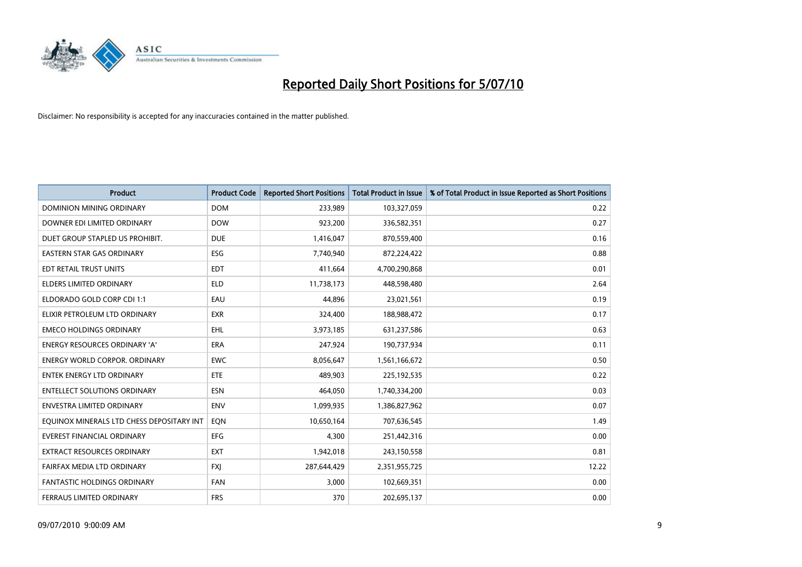

| <b>Product</b>                            | <b>Product Code</b> | <b>Reported Short Positions</b> | Total Product in Issue | % of Total Product in Issue Reported as Short Positions |
|-------------------------------------------|---------------------|---------------------------------|------------------------|---------------------------------------------------------|
| <b>DOMINION MINING ORDINARY</b>           | <b>DOM</b>          | 233,989                         | 103,327,059            | 0.22                                                    |
| DOWNER EDI LIMITED ORDINARY               | <b>DOW</b>          | 923,200                         | 336,582,351            | 0.27                                                    |
| DUET GROUP STAPLED US PROHIBIT.           | <b>DUE</b>          | 1,416,047                       | 870,559,400            | 0.16                                                    |
| <b>EASTERN STAR GAS ORDINARY</b>          | <b>ESG</b>          | 7,740,940                       | 872,224,422            | 0.88                                                    |
| EDT RETAIL TRUST UNITS                    | <b>EDT</b>          | 411,664                         | 4,700,290,868          | 0.01                                                    |
| <b>ELDERS LIMITED ORDINARY</b>            | <b>ELD</b>          | 11,738,173                      | 448,598,480            | 2.64                                                    |
| ELDORADO GOLD CORP CDI 1:1                | EAU                 | 44.896                          | 23,021,561             | 0.19                                                    |
| ELIXIR PETROLEUM LTD ORDINARY             | <b>EXR</b>          | 324,400                         | 188,988,472            | 0.17                                                    |
| <b>EMECO HOLDINGS ORDINARY</b>            | <b>EHL</b>          | 3,973,185                       | 631,237,586            | 0.63                                                    |
| <b>ENERGY RESOURCES ORDINARY 'A'</b>      | <b>ERA</b>          | 247,924                         | 190,737,934            | 0.11                                                    |
| <b>ENERGY WORLD CORPOR, ORDINARY</b>      | <b>EWC</b>          | 8,056,647                       | 1,561,166,672          | 0.50                                                    |
| <b>ENTEK ENERGY LTD ORDINARY</b>          | <b>ETE</b>          | 489,903                         | 225,192,535            | 0.22                                                    |
| <b>ENTELLECT SOLUTIONS ORDINARY</b>       | <b>ESN</b>          | 464.050                         | 1,740,334,200          | 0.03                                                    |
| <b>ENVESTRA LIMITED ORDINARY</b>          | <b>ENV</b>          | 1,099,935                       | 1,386,827,962          | 0.07                                                    |
| EQUINOX MINERALS LTD CHESS DEPOSITARY INT | EON                 | 10,650,164                      | 707,636,545            | 1.49                                                    |
| <b>EVEREST FINANCIAL ORDINARY</b>         | <b>EFG</b>          | 4.300                           | 251,442,316            | 0.00                                                    |
| <b>EXTRACT RESOURCES ORDINARY</b>         | <b>EXT</b>          | 1,942,018                       | 243,150,558            | 0.81                                                    |
| FAIRFAX MEDIA LTD ORDINARY                | <b>FXI</b>          | 287,644,429                     | 2,351,955,725          | 12.22                                                   |
| <b>FANTASTIC HOLDINGS ORDINARY</b>        | <b>FAN</b>          | 3,000                           | 102,669,351            | 0.00                                                    |
| FERRAUS LIMITED ORDINARY                  | <b>FRS</b>          | 370                             | 202,695,137            | 0.00                                                    |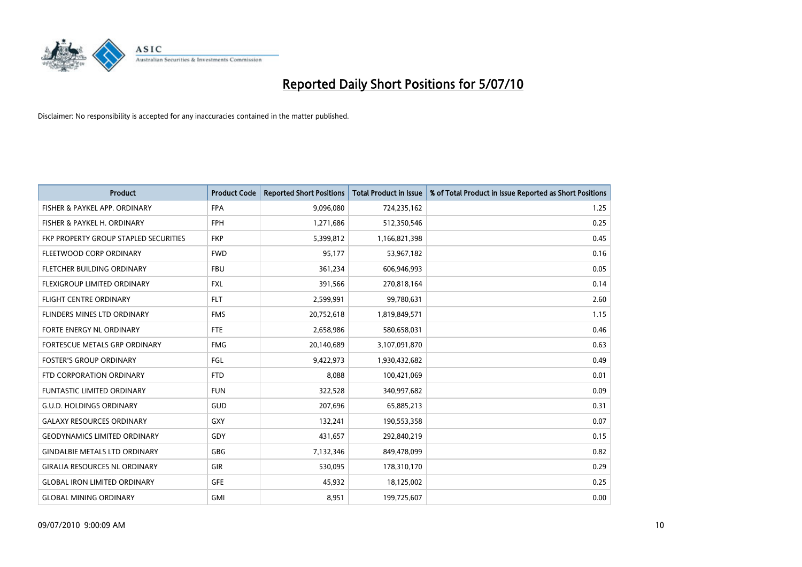

| <b>Product</b>                        | <b>Product Code</b> | <b>Reported Short Positions</b> | <b>Total Product in Issue</b> | % of Total Product in Issue Reported as Short Positions |
|---------------------------------------|---------------------|---------------------------------|-------------------------------|---------------------------------------------------------|
| FISHER & PAYKEL APP. ORDINARY         | <b>FPA</b>          | 9,096,080                       | 724,235,162                   | 1.25                                                    |
| FISHER & PAYKEL H. ORDINARY           | <b>FPH</b>          | 1,271,686                       | 512,350,546                   | 0.25                                                    |
| FKP PROPERTY GROUP STAPLED SECURITIES | <b>FKP</b>          | 5,399,812                       | 1,166,821,398                 | 0.45                                                    |
| FLEETWOOD CORP ORDINARY               | <b>FWD</b>          | 95,177                          | 53,967,182                    | 0.16                                                    |
| FLETCHER BUILDING ORDINARY            | <b>FBU</b>          | 361,234                         | 606,946,993                   | 0.05                                                    |
| FLEXIGROUP LIMITED ORDINARY           | <b>FXL</b>          | 391,566                         | 270,818,164                   | 0.14                                                    |
| FLIGHT CENTRE ORDINARY                | <b>FLT</b>          | 2,599,991                       | 99,780,631                    | 2.60                                                    |
| FLINDERS MINES LTD ORDINARY           | <b>FMS</b>          | 20,752,618                      | 1,819,849,571                 | 1.15                                                    |
| FORTE ENERGY NL ORDINARY              | <b>FTE</b>          | 2,658,986                       | 580,658,031                   | 0.46                                                    |
| FORTESCUE METALS GRP ORDINARY         | <b>FMG</b>          | 20,140,689                      | 3,107,091,870                 | 0.63                                                    |
| <b>FOSTER'S GROUP ORDINARY</b>        | FGL                 | 9,422,973                       | 1,930,432,682                 | 0.49                                                    |
| FTD CORPORATION ORDINARY              | <b>FTD</b>          | 8,088                           | 100,421,069                   | 0.01                                                    |
| FUNTASTIC LIMITED ORDINARY            | <b>FUN</b>          | 322,528                         | 340,997,682                   | 0.09                                                    |
| <b>G.U.D. HOLDINGS ORDINARY</b>       | <b>GUD</b>          | 207,696                         | 65,885,213                    | 0.31                                                    |
| <b>GALAXY RESOURCES ORDINARY</b>      | <b>GXY</b>          | 132,241                         | 190,553,358                   | 0.07                                                    |
| <b>GEODYNAMICS LIMITED ORDINARY</b>   | GDY                 | 431,657                         | 292,840,219                   | 0.15                                                    |
| <b>GINDALBIE METALS LTD ORDINARY</b>  | GBG                 | 7,132,346                       | 849,478,099                   | 0.82                                                    |
| <b>GIRALIA RESOURCES NL ORDINARY</b>  | <b>GIR</b>          | 530,095                         | 178,310,170                   | 0.29                                                    |
| <b>GLOBAL IRON LIMITED ORDINARY</b>   | <b>GFE</b>          | 45,932                          | 18,125,002                    | 0.25                                                    |
| <b>GLOBAL MINING ORDINARY</b>         | <b>GMI</b>          | 8,951                           | 199,725,607                   | 0.00                                                    |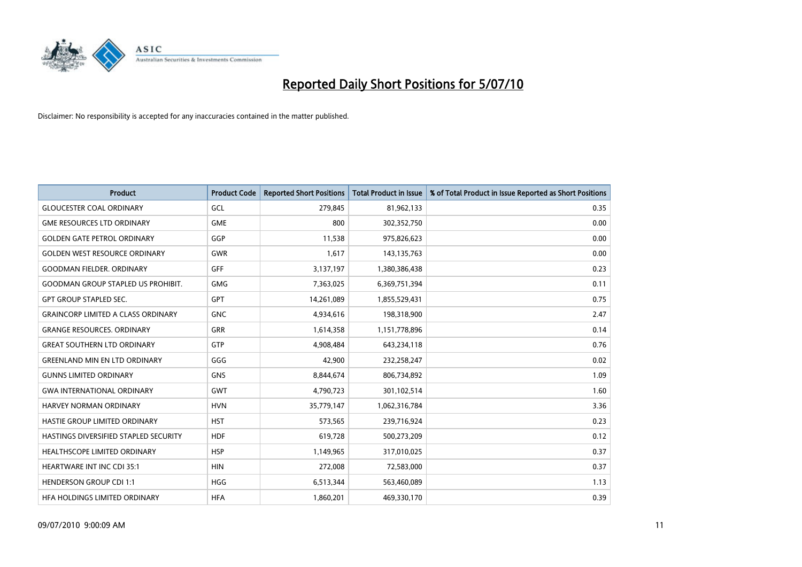

| <b>Product</b>                            | <b>Product Code</b> | <b>Reported Short Positions</b> | <b>Total Product in Issue</b> | % of Total Product in Issue Reported as Short Positions |
|-------------------------------------------|---------------------|---------------------------------|-------------------------------|---------------------------------------------------------|
| <b>GLOUCESTER COAL ORDINARY</b>           | GCL                 | 279,845                         | 81,962,133                    | 0.35                                                    |
| <b>GME RESOURCES LTD ORDINARY</b>         | <b>GME</b>          | 800                             | 302,352,750                   | 0.00                                                    |
| <b>GOLDEN GATE PETROL ORDINARY</b>        | GGP                 | 11,538                          | 975,826,623                   | 0.00                                                    |
| <b>GOLDEN WEST RESOURCE ORDINARY</b>      | <b>GWR</b>          | 1,617                           | 143,135,763                   | 0.00                                                    |
| <b>GOODMAN FIELDER, ORDINARY</b>          | GFF                 | 3,137,197                       | 1,380,386,438                 | 0.23                                                    |
| <b>GOODMAN GROUP STAPLED US PROHIBIT.</b> | <b>GMG</b>          | 7,363,025                       | 6,369,751,394                 | 0.11                                                    |
| <b>GPT GROUP STAPLED SEC.</b>             | <b>GPT</b>          | 14,261,089                      | 1,855,529,431                 | 0.75                                                    |
| <b>GRAINCORP LIMITED A CLASS ORDINARY</b> | <b>GNC</b>          | 4,934,616                       | 198,318,900                   | 2.47                                                    |
| <b>GRANGE RESOURCES. ORDINARY</b>         | GRR                 | 1,614,358                       | 1,151,778,896                 | 0.14                                                    |
| <b>GREAT SOUTHERN LTD ORDINARY</b>        | <b>GTP</b>          | 4,908,484                       | 643,234,118                   | 0.76                                                    |
| <b>GREENLAND MIN EN LTD ORDINARY</b>      | GGG                 | 42,900                          | 232,258,247                   | 0.02                                                    |
| <b>GUNNS LIMITED ORDINARY</b>             | <b>GNS</b>          | 8,844,674                       | 806,734,892                   | 1.09                                                    |
| <b>GWA INTERNATIONAL ORDINARY</b>         | <b>GWT</b>          | 4,790,723                       | 301,102,514                   | 1.60                                                    |
| <b>HARVEY NORMAN ORDINARY</b>             | <b>HVN</b>          | 35,779,147                      | 1,062,316,784                 | 3.36                                                    |
| HASTIE GROUP LIMITED ORDINARY             | <b>HST</b>          | 573,565                         | 239,716,924                   | 0.23                                                    |
| HASTINGS DIVERSIFIED STAPLED SECURITY     | <b>HDF</b>          | 619,728                         | 500,273,209                   | 0.12                                                    |
| HEALTHSCOPE LIMITED ORDINARY              | <b>HSP</b>          | 1,149,965                       | 317,010,025                   | 0.37                                                    |
| <b>HEARTWARE INT INC CDI 35:1</b>         | <b>HIN</b>          | 272,008                         | 72,583,000                    | 0.37                                                    |
| <b>HENDERSON GROUP CDI 1:1</b>            | <b>HGG</b>          | 6,513,344                       | 563,460,089                   | 1.13                                                    |
| HEA HOLDINGS LIMITED ORDINARY             | <b>HFA</b>          | 1,860,201                       | 469,330,170                   | 0.39                                                    |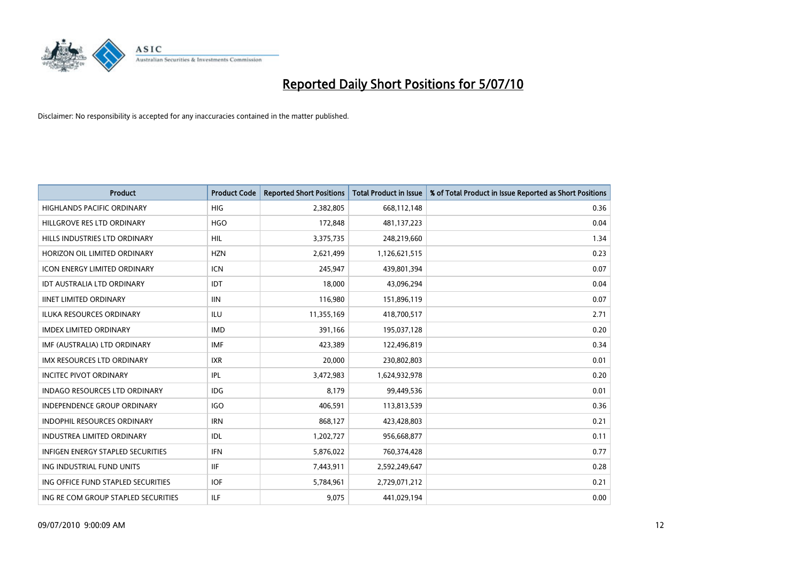

| <b>Product</b>                           | <b>Product Code</b> | <b>Reported Short Positions</b> | <b>Total Product in Issue</b> | % of Total Product in Issue Reported as Short Positions |
|------------------------------------------|---------------------|---------------------------------|-------------------------------|---------------------------------------------------------|
| <b>HIGHLANDS PACIFIC ORDINARY</b>        | HIG                 | 2,382,805                       | 668,112,148                   | 0.36                                                    |
| HILLGROVE RES LTD ORDINARY               | <b>HGO</b>          | 172,848                         | 481,137,223                   | 0.04                                                    |
| HILLS INDUSTRIES LTD ORDINARY            | <b>HIL</b>          | 3,375,735                       | 248,219,660                   | 1.34                                                    |
| HORIZON OIL LIMITED ORDINARY             | <b>HZN</b>          | 2,621,499                       | 1,126,621,515                 | 0.23                                                    |
| <b>ICON ENERGY LIMITED ORDINARY</b>      | <b>ICN</b>          | 245,947                         | 439,801,394                   | 0.07                                                    |
| IDT AUSTRALIA LTD ORDINARY               | <b>IDT</b>          | 18,000                          | 43,096,294                    | 0.04                                                    |
| <b>IINET LIMITED ORDINARY</b>            | <b>IIN</b>          | 116,980                         | 151,896,119                   | 0.07                                                    |
| <b>ILUKA RESOURCES ORDINARY</b>          | <b>ILU</b>          | 11,355,169                      | 418,700,517                   | 2.71                                                    |
| <b>IMDEX LIMITED ORDINARY</b>            | <b>IMD</b>          | 391,166                         | 195,037,128                   | 0.20                                                    |
| IMF (AUSTRALIA) LTD ORDINARY             | <b>IMF</b>          | 423,389                         | 122,496,819                   | 0.34                                                    |
| <b>IMX RESOURCES LTD ORDINARY</b>        | <b>IXR</b>          | 20,000                          | 230,802,803                   | 0.01                                                    |
| <b>INCITEC PIVOT ORDINARY</b>            | <b>IPL</b>          | 3,472,983                       | 1,624,932,978                 | 0.20                                                    |
| <b>INDAGO RESOURCES LTD ORDINARY</b>     | IDG                 | 8.179                           | 99,449,536                    | 0.01                                                    |
| <b>INDEPENDENCE GROUP ORDINARY</b>       | <b>IGO</b>          | 406.591                         | 113,813,539                   | 0.36                                                    |
| INDOPHIL RESOURCES ORDINARY              | <b>IRN</b>          | 868,127                         | 423,428,803                   | 0.21                                                    |
| <b>INDUSTREA LIMITED ORDINARY</b>        | IDL                 | 1,202,727                       | 956,668,877                   | 0.11                                                    |
| <b>INFIGEN ENERGY STAPLED SECURITIES</b> | <b>IFN</b>          | 5,876,022                       | 760,374,428                   | 0.77                                                    |
| ING INDUSTRIAL FUND UNITS                | <b>IIF</b>          | 7,443,911                       | 2,592,249,647                 | 0.28                                                    |
| ING OFFICE FUND STAPLED SECURITIES       | <b>IOF</b>          | 5,784,961                       | 2,729,071,212                 | 0.21                                                    |
| ING RE COM GROUP STAPLED SECURITIES      | <b>ILF</b>          | 9.075                           | 441,029,194                   | 0.00                                                    |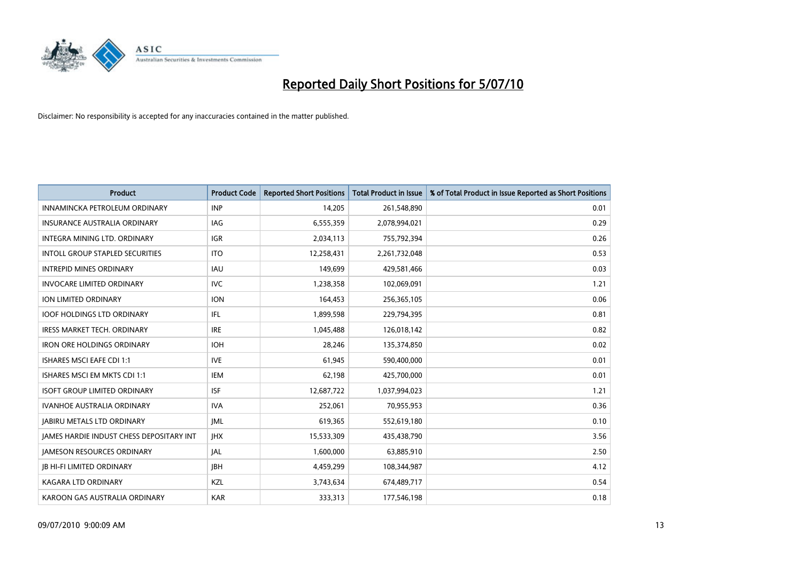

| <b>Product</b>                                  | <b>Product Code</b> | <b>Reported Short Positions</b> | <b>Total Product in Issue</b> | % of Total Product in Issue Reported as Short Positions |
|-------------------------------------------------|---------------------|---------------------------------|-------------------------------|---------------------------------------------------------|
| INNAMINCKA PETROLEUM ORDINARY                   | <b>INP</b>          | 14,205                          | 261,548,890                   | 0.01                                                    |
| <b>INSURANCE AUSTRALIA ORDINARY</b>             | <b>IAG</b>          | 6,555,359                       | 2,078,994,021                 | 0.29                                                    |
| <b>INTEGRA MINING LTD, ORDINARY</b>             | <b>IGR</b>          | 2,034,113                       | 755,792,394                   | 0.26                                                    |
| INTOLL GROUP STAPLED SECURITIES                 | <b>ITO</b>          | 12,258,431                      | 2,261,732,048                 | 0.53                                                    |
| <b>INTREPID MINES ORDINARY</b>                  | <b>IAU</b>          | 149.699                         | 429,581,466                   | 0.03                                                    |
| <b>INVOCARE LIMITED ORDINARY</b>                | <b>IVC</b>          | 1,238,358                       | 102,069,091                   | 1.21                                                    |
| ION LIMITED ORDINARY                            | <b>ION</b>          | 164,453                         | 256,365,105                   | 0.06                                                    |
| <b>IOOF HOLDINGS LTD ORDINARY</b>               | <b>IFL</b>          | 1,899,598                       | 229,794,395                   | 0.81                                                    |
| <b>IRESS MARKET TECH. ORDINARY</b>              | <b>IRE</b>          | 1,045,488                       | 126,018,142                   | 0.82                                                    |
| <b>IRON ORE HOLDINGS ORDINARY</b>               | <b>IOH</b>          | 28,246                          | 135,374,850                   | 0.02                                                    |
| <b>ISHARES MSCI EAFE CDI 1:1</b>                | <b>IVE</b>          | 61,945                          | 590,400,000                   | 0.01                                                    |
| ISHARES MSCI EM MKTS CDI 1:1                    | <b>IEM</b>          | 62,198                          | 425,700,000                   | 0.01                                                    |
| <b>ISOFT GROUP LIMITED ORDINARY</b>             | <b>ISF</b>          | 12,687,722                      | 1,037,994,023                 | 1.21                                                    |
| <b>IVANHOE AUSTRALIA ORDINARY</b>               | <b>IVA</b>          | 252.061                         | 70,955,953                    | 0.36                                                    |
| <b>JABIRU METALS LTD ORDINARY</b>               | <b>JML</b>          | 619,365                         | 552,619,180                   | 0.10                                                    |
| <b>JAMES HARDIE INDUST CHESS DEPOSITARY INT</b> | <b>IHX</b>          | 15,533,309                      | 435,438,790                   | 3.56                                                    |
| <b>JAMESON RESOURCES ORDINARY</b>               | <b>JAL</b>          | 1,600,000                       | 63,885,910                    | 2.50                                                    |
| <b>JB HI-FI LIMITED ORDINARY</b>                | <b>IBH</b>          | 4,459,299                       | 108,344,987                   | 4.12                                                    |
| <b>KAGARA LTD ORDINARY</b>                      | KZL                 | 3,743,634                       | 674,489,717                   | 0.54                                                    |
| KAROON GAS AUSTRALIA ORDINARY                   | <b>KAR</b>          | 333,313                         | 177,546,198                   | 0.18                                                    |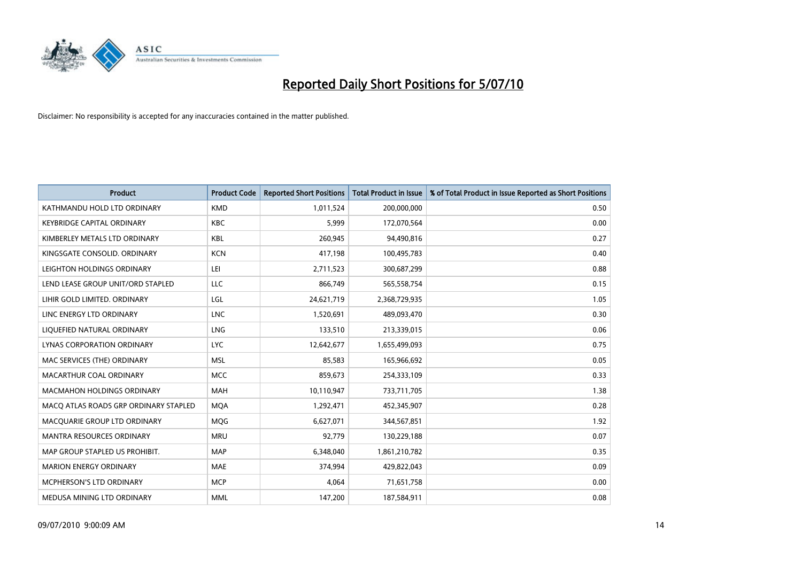

| <b>Product</b>                        | <b>Product Code</b> | <b>Reported Short Positions</b> | Total Product in Issue | % of Total Product in Issue Reported as Short Positions |
|---------------------------------------|---------------------|---------------------------------|------------------------|---------------------------------------------------------|
| KATHMANDU HOLD LTD ORDINARY           | <b>KMD</b>          | 1,011,524                       | 200,000,000            | 0.50                                                    |
| <b>KEYBRIDGE CAPITAL ORDINARY</b>     | <b>KBC</b>          | 5,999                           | 172,070,564            | 0.00                                                    |
| KIMBERLEY METALS LTD ORDINARY         | <b>KBL</b>          | 260,945                         | 94,490,816             | 0.27                                                    |
| KINGSGATE CONSOLID. ORDINARY          | <b>KCN</b>          | 417,198                         | 100,495,783            | 0.40                                                    |
| LEIGHTON HOLDINGS ORDINARY            | LEI                 | 2,711,523                       | 300,687,299            | 0.88                                                    |
| LEND LEASE GROUP UNIT/ORD STAPLED     | LLC                 | 866,749                         | 565,558,754            | 0.15                                                    |
| LIHIR GOLD LIMITED. ORDINARY          | LGL                 | 24,621,719                      | 2,368,729,935          | 1.05                                                    |
| LINC ENERGY LTD ORDINARY              | <b>LNC</b>          | 1,520,691                       | 489,093,470            | 0.30                                                    |
| LIQUEFIED NATURAL ORDINARY            | LNG                 | 133,510                         | 213,339,015            | 0.06                                                    |
| LYNAS CORPORATION ORDINARY            | <b>LYC</b>          | 12,642,677                      | 1,655,499,093          | 0.75                                                    |
| MAC SERVICES (THE) ORDINARY           | <b>MSL</b>          | 85,583                          | 165,966,692            | 0.05                                                    |
| MACARTHUR COAL ORDINARY               | <b>MCC</b>          | 859,673                         | 254,333,109            | 0.33                                                    |
| <b>MACMAHON HOLDINGS ORDINARY</b>     | <b>MAH</b>          | 10,110,947                      | 733,711,705            | 1.38                                                    |
| MACO ATLAS ROADS GRP ORDINARY STAPLED | <b>MOA</b>          | 1,292,471                       | 452,345,907            | 0.28                                                    |
| MACQUARIE GROUP LTD ORDINARY          | MQG                 | 6,627,071                       | 344,567,851            | 1.92                                                    |
| <b>MANTRA RESOURCES ORDINARY</b>      | <b>MRU</b>          | 92,779                          | 130,229,188            | 0.07                                                    |
| MAP GROUP STAPLED US PROHIBIT.        | <b>MAP</b>          | 6,348,040                       | 1,861,210,782          | 0.35                                                    |
| <b>MARION ENERGY ORDINARY</b>         | <b>MAE</b>          | 374,994                         | 429,822,043            | 0.09                                                    |
| <b>MCPHERSON'S LTD ORDINARY</b>       | <b>MCP</b>          | 4,064                           | 71,651,758             | 0.00                                                    |
| MEDUSA MINING LTD ORDINARY            | <b>MML</b>          | 147,200                         | 187,584,911            | 0.08                                                    |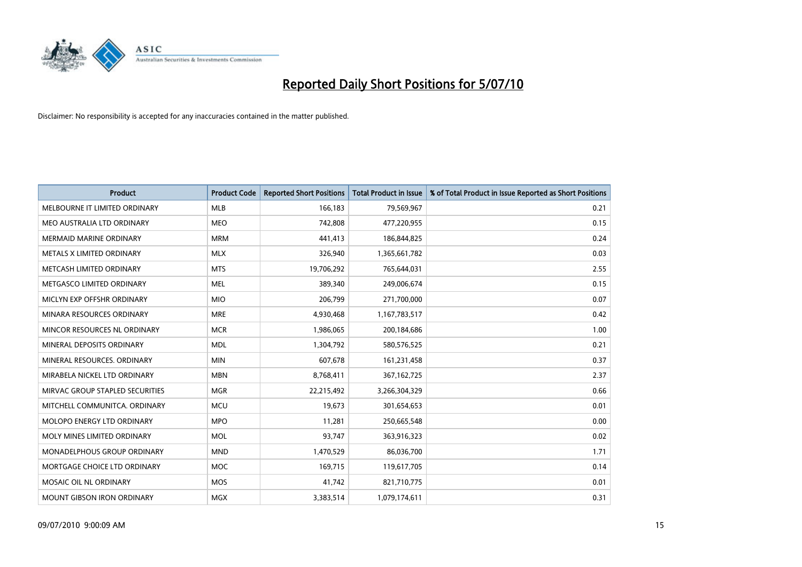

| <b>Product</b>                    | <b>Product Code</b> | <b>Reported Short Positions</b> | <b>Total Product in Issue</b> | % of Total Product in Issue Reported as Short Positions |
|-----------------------------------|---------------------|---------------------------------|-------------------------------|---------------------------------------------------------|
| MELBOURNE IT LIMITED ORDINARY     | <b>MLB</b>          | 166,183                         | 79,569,967                    | 0.21                                                    |
| MEO AUSTRALIA LTD ORDINARY        | <b>MEO</b>          | 742,808                         | 477,220,955                   | 0.15                                                    |
| <b>MERMAID MARINE ORDINARY</b>    | <b>MRM</b>          | 441,413                         | 186,844,825                   | 0.24                                                    |
| METALS X LIMITED ORDINARY         | <b>MLX</b>          | 326,940                         | 1,365,661,782                 | 0.03                                                    |
| METCASH LIMITED ORDINARY          | <b>MTS</b>          | 19,706,292                      | 765,644,031                   | 2.55                                                    |
| METGASCO LIMITED ORDINARY         | <b>MEL</b>          | 389,340                         | 249,006,674                   | 0.15                                                    |
| MICLYN EXP OFFSHR ORDINARY        | <b>MIO</b>          | 206.799                         | 271,700,000                   | 0.07                                                    |
| MINARA RESOURCES ORDINARY         | <b>MRE</b>          | 4,930,468                       | 1,167,783,517                 | 0.42                                                    |
| MINCOR RESOURCES NL ORDINARY      | <b>MCR</b>          | 1,986,065                       | 200,184,686                   | 1.00                                                    |
| MINERAL DEPOSITS ORDINARY         | <b>MDL</b>          | 1,304,792                       | 580,576,525                   | 0.21                                                    |
| MINERAL RESOURCES, ORDINARY       | <b>MIN</b>          | 607,678                         | 161,231,458                   | 0.37                                                    |
| MIRABELA NICKEL LTD ORDINARY      | <b>MBN</b>          | 8,768,411                       | 367, 162, 725                 | 2.37                                                    |
| MIRVAC GROUP STAPLED SECURITIES   | <b>MGR</b>          | 22,215,492                      | 3,266,304,329                 | 0.66                                                    |
| MITCHELL COMMUNITCA, ORDINARY     | <b>MCU</b>          | 19,673                          | 301,654,653                   | 0.01                                                    |
| MOLOPO ENERGY LTD ORDINARY        | <b>MPO</b>          | 11,281                          | 250,665,548                   | 0.00                                                    |
| MOLY MINES LIMITED ORDINARY       | <b>MOL</b>          | 93,747                          | 363,916,323                   | 0.02                                                    |
| MONADELPHOUS GROUP ORDINARY       | <b>MND</b>          | 1,470,529                       | 86,036,700                    | 1.71                                                    |
| MORTGAGE CHOICE LTD ORDINARY      | <b>MOC</b>          | 169,715                         | 119,617,705                   | 0.14                                                    |
| MOSAIC OIL NL ORDINARY            | <b>MOS</b>          | 41,742                          | 821,710,775                   | 0.01                                                    |
| <b>MOUNT GIBSON IRON ORDINARY</b> | <b>MGX</b>          | 3,383,514                       | 1,079,174,611                 | 0.31                                                    |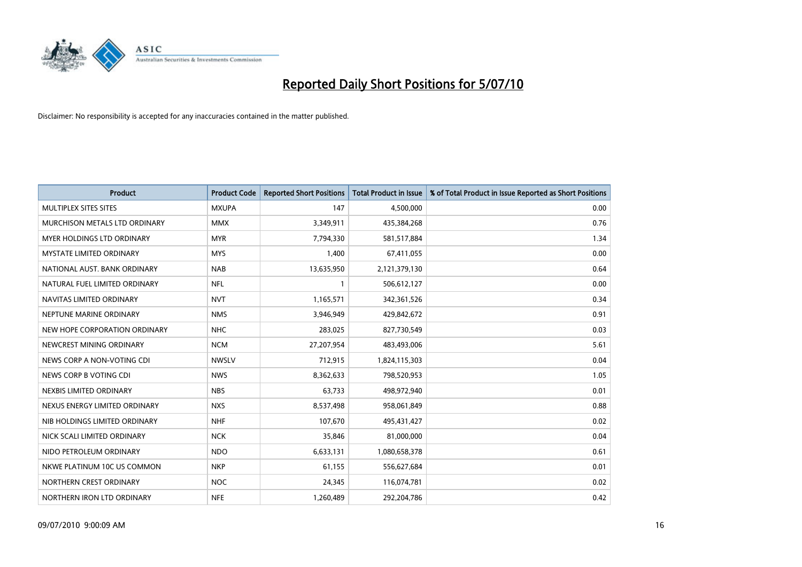

| <b>Product</b>                    | <b>Product Code</b> | <b>Reported Short Positions</b> | <b>Total Product in Issue</b> | % of Total Product in Issue Reported as Short Positions |
|-----------------------------------|---------------------|---------------------------------|-------------------------------|---------------------------------------------------------|
| MULTIPLEX SITES SITES             | <b>MXUPA</b>        | 147                             | 4,500,000                     | 0.00                                                    |
| MURCHISON METALS LTD ORDINARY     | <b>MMX</b>          | 3,349,911                       | 435,384,268                   | 0.76                                                    |
| <b>MYER HOLDINGS LTD ORDINARY</b> | <b>MYR</b>          | 7,794,330                       | 581,517,884                   | 1.34                                                    |
| <b>MYSTATE LIMITED ORDINARY</b>   | <b>MYS</b>          | 1,400                           | 67,411,055                    | 0.00                                                    |
| NATIONAL AUST. BANK ORDINARY      | <b>NAB</b>          | 13,635,950                      | 2,121,379,130                 | 0.64                                                    |
| NATURAL FUEL LIMITED ORDINARY     | <b>NFL</b>          |                                 | 506,612,127                   | 0.00                                                    |
| NAVITAS LIMITED ORDINARY          | <b>NVT</b>          | 1,165,571                       | 342,361,526                   | 0.34                                                    |
| NEPTUNE MARINE ORDINARY           | <b>NMS</b>          | 3,946,949                       | 429,842,672                   | 0.91                                                    |
| NEW HOPE CORPORATION ORDINARY     | <b>NHC</b>          | 283,025                         | 827,730,549                   | 0.03                                                    |
| NEWCREST MINING ORDINARY          | <b>NCM</b>          | 27,207,954                      | 483,493,006                   | 5.61                                                    |
| NEWS CORP A NON-VOTING CDI        | <b>NWSLV</b>        | 712,915                         | 1,824,115,303                 | 0.04                                                    |
| NEWS CORP B VOTING CDI            | <b>NWS</b>          | 8,362,633                       | 798,520,953                   | 1.05                                                    |
| NEXBIS LIMITED ORDINARY           | <b>NBS</b>          | 63,733                          | 498,972,940                   | 0.01                                                    |
| NEXUS ENERGY LIMITED ORDINARY     | <b>NXS</b>          | 8,537,498                       | 958,061,849                   | 0.88                                                    |
| NIB HOLDINGS LIMITED ORDINARY     | <b>NHF</b>          | 107,670                         | 495,431,427                   | 0.02                                                    |
| NICK SCALI LIMITED ORDINARY       | <b>NCK</b>          | 35,846                          | 81,000,000                    | 0.04                                                    |
| NIDO PETROLEUM ORDINARY           | <b>NDO</b>          | 6,633,131                       | 1,080,658,378                 | 0.61                                                    |
| NKWE PLATINUM 10C US COMMON       | <b>NKP</b>          | 61,155                          | 556,627,684                   | 0.01                                                    |
| NORTHERN CREST ORDINARY           | <b>NOC</b>          | 24,345                          | 116,074,781                   | 0.02                                                    |
| NORTHERN IRON LTD ORDINARY        | <b>NFE</b>          | 1,260,489                       | 292,204,786                   | 0.42                                                    |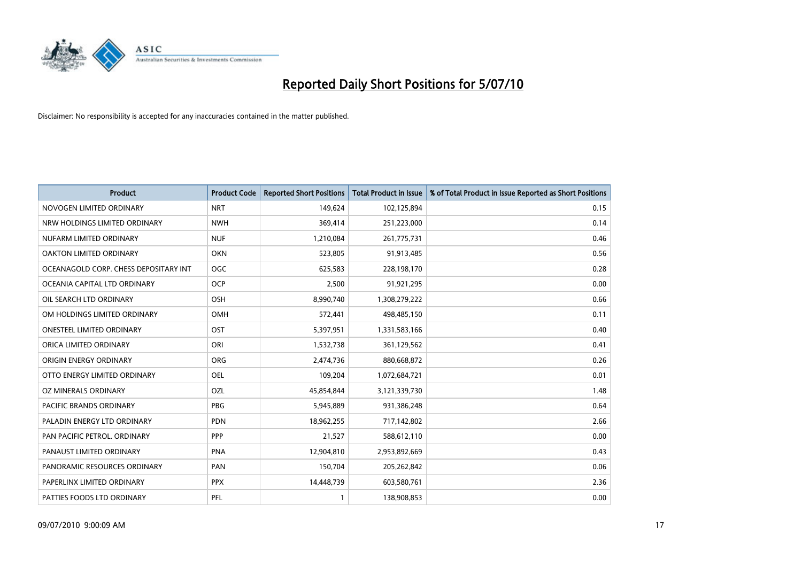

| <b>Product</b>                        | <b>Product Code</b> | <b>Reported Short Positions</b> | Total Product in Issue | % of Total Product in Issue Reported as Short Positions |
|---------------------------------------|---------------------|---------------------------------|------------------------|---------------------------------------------------------|
| NOVOGEN LIMITED ORDINARY              | <b>NRT</b>          | 149,624                         | 102,125,894            | 0.15                                                    |
| NRW HOLDINGS LIMITED ORDINARY         | <b>NWH</b>          | 369,414                         | 251,223,000            | 0.14                                                    |
| NUFARM LIMITED ORDINARY               | <b>NUF</b>          | 1,210,084                       | 261,775,731            | 0.46                                                    |
| OAKTON LIMITED ORDINARY               | <b>OKN</b>          | 523,805                         | 91,913,485             | 0.56                                                    |
| OCEANAGOLD CORP. CHESS DEPOSITARY INT | <b>OGC</b>          | 625,583                         | 228,198,170            | 0.28                                                    |
| OCEANIA CAPITAL LTD ORDINARY          | <b>OCP</b>          | 2,500                           | 91,921,295             | 0.00                                                    |
| OIL SEARCH LTD ORDINARY               | <b>OSH</b>          | 8,990,740                       | 1,308,279,222          | 0.66                                                    |
| OM HOLDINGS LIMITED ORDINARY          | <b>OMH</b>          | 572,441                         | 498,485,150            | 0.11                                                    |
| <b>ONESTEEL LIMITED ORDINARY</b>      | OST                 | 5,397,951                       | 1,331,583,166          | 0.40                                                    |
| ORICA LIMITED ORDINARY                | ORI                 | 1,532,738                       | 361,129,562            | 0.41                                                    |
| ORIGIN ENERGY ORDINARY                | ORG                 | 2,474,736                       | 880,668,872            | 0.26                                                    |
| OTTO ENERGY LIMITED ORDINARY          | <b>OEL</b>          | 109,204                         | 1,072,684,721          | 0.01                                                    |
| OZ MINERALS ORDINARY                  | OZL                 | 45,854,844                      | 3,121,339,730          | 1.48                                                    |
| <b>PACIFIC BRANDS ORDINARY</b>        | PBG                 | 5,945,889                       | 931,386,248            | 0.64                                                    |
| PALADIN ENERGY LTD ORDINARY           | <b>PDN</b>          | 18,962,255                      | 717,142,802            | 2.66                                                    |
| PAN PACIFIC PETROL. ORDINARY          | <b>PPP</b>          | 21,527                          | 588,612,110            | 0.00                                                    |
| PANAUST LIMITED ORDINARY              | <b>PNA</b>          | 12,904,810                      | 2,953,892,669          | 0.43                                                    |
| PANORAMIC RESOURCES ORDINARY          | PAN                 | 150,704                         | 205,262,842            | 0.06                                                    |
| PAPERLINX LIMITED ORDINARY            | <b>PPX</b>          | 14,448,739                      | 603,580,761            | 2.36                                                    |
| PATTIES FOODS LTD ORDINARY            | PFL                 |                                 | 138,908,853            | 0.00                                                    |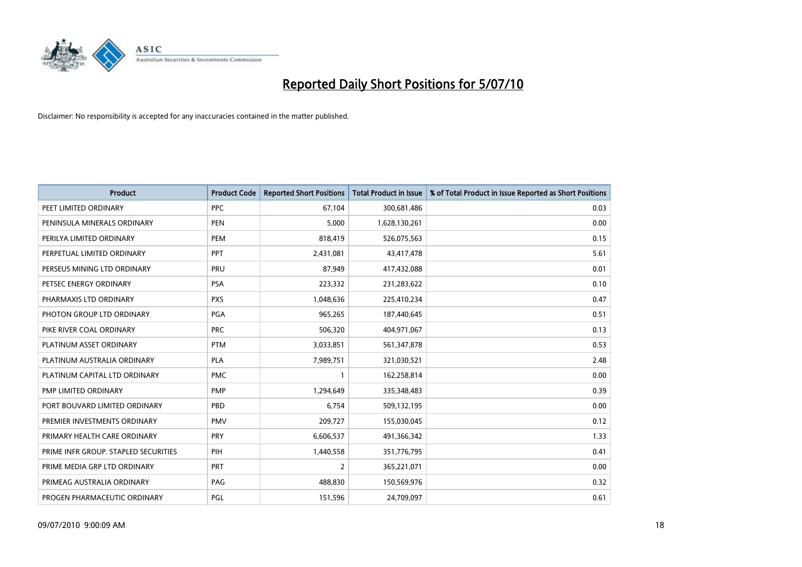

| <b>Product</b>                       | <b>Product Code</b> | <b>Reported Short Positions</b> | <b>Total Product in Issue</b> | % of Total Product in Issue Reported as Short Positions |
|--------------------------------------|---------------------|---------------------------------|-------------------------------|---------------------------------------------------------|
| PEET LIMITED ORDINARY                | <b>PPC</b>          | 67,104                          | 300,681,486                   | 0.03                                                    |
| PENINSULA MINERALS ORDINARY          | <b>PEN</b>          | 5,000                           | 1,628,130,261                 | 0.00                                                    |
| PERILYA LIMITED ORDINARY             | PEM                 | 818,419                         | 526,075,563                   | 0.15                                                    |
| PERPETUAL LIMITED ORDINARY           | PPT                 | 2,431,081                       | 43,417,478                    | 5.61                                                    |
| PERSEUS MINING LTD ORDINARY          | PRU                 | 87,949                          | 417,432,088                   | 0.01                                                    |
| PETSEC ENERGY ORDINARY               | <b>PSA</b>          | 223,332                         | 231,283,622                   | 0.10                                                    |
| PHARMAXIS LTD ORDINARY               | <b>PXS</b>          | 1,048,636                       | 225,410,234                   | 0.47                                                    |
| PHOTON GROUP LTD ORDINARY            | <b>PGA</b>          | 965,265                         | 187,440,645                   | 0.51                                                    |
| PIKE RIVER COAL ORDINARY             | <b>PRC</b>          | 506,320                         | 404,971,067                   | 0.13                                                    |
| PLATINUM ASSET ORDINARY              | <b>PTM</b>          | 3,033,851                       | 561,347,878                   | 0.53                                                    |
| PLATINUM AUSTRALIA ORDINARY          | <b>PLA</b>          | 7,989,751                       | 321,030,521                   | 2.48                                                    |
| PLATINUM CAPITAL LTD ORDINARY        | <b>PMC</b>          |                                 | 162,258,814                   | 0.00                                                    |
| PMP LIMITED ORDINARY                 | PMP                 | 1,294,649                       | 335,348,483                   | 0.39                                                    |
| PORT BOUVARD LIMITED ORDINARY        | PBD                 | 6.754                           | 509,132,195                   | 0.00                                                    |
| PREMIER INVESTMENTS ORDINARY         | <b>PMV</b>          | 209,727                         | 155,030,045                   | 0.12                                                    |
| PRIMARY HEALTH CARE ORDINARY         | PRY                 | 6,606,537                       | 491,366,342                   | 1.33                                                    |
| PRIME INFR GROUP. STAPLED SECURITIES | PIH                 | 1,440,558                       | 351,776,795                   | 0.41                                                    |
| PRIME MEDIA GRP LTD ORDINARY         | <b>PRT</b>          | 2                               | 365,221,071                   | 0.00                                                    |
| PRIMEAG AUSTRALIA ORDINARY           | PAG                 | 488,830                         | 150,569,976                   | 0.32                                                    |
| PROGEN PHARMACEUTIC ORDINARY         | PGL                 | 151,596                         | 24,709,097                    | 0.61                                                    |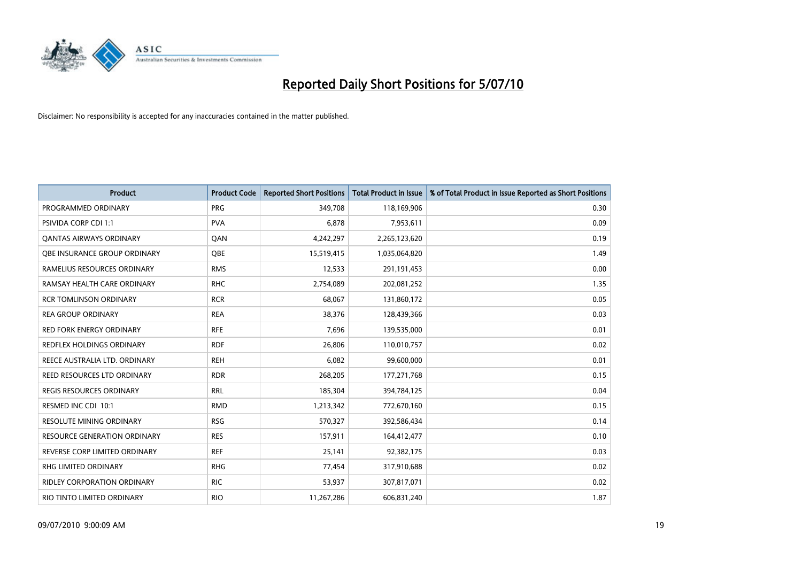

| <b>Product</b>                      | <b>Product Code</b> | <b>Reported Short Positions</b> | <b>Total Product in Issue</b> | % of Total Product in Issue Reported as Short Positions |
|-------------------------------------|---------------------|---------------------------------|-------------------------------|---------------------------------------------------------|
| PROGRAMMED ORDINARY                 | <b>PRG</b>          | 349,708                         | 118,169,906                   | 0.30                                                    |
| <b>PSIVIDA CORP CDI 1:1</b>         | <b>PVA</b>          | 6,878                           | 7,953,611                     | 0.09                                                    |
| QANTAS AIRWAYS ORDINARY             | <b>OAN</b>          | 4,242,297                       | 2,265,123,620                 | 0.19                                                    |
| <b>OBE INSURANCE GROUP ORDINARY</b> | OBE                 | 15,519,415                      | 1,035,064,820                 | 1.49                                                    |
| RAMELIUS RESOURCES ORDINARY         | <b>RMS</b>          | 12,533                          | 291,191,453                   | 0.00                                                    |
| RAMSAY HEALTH CARE ORDINARY         | <b>RHC</b>          | 2,754,089                       | 202,081,252                   | 1.35                                                    |
| <b>RCR TOMLINSON ORDINARY</b>       | <b>RCR</b>          | 68,067                          | 131,860,172                   | 0.05                                                    |
| <b>REA GROUP ORDINARY</b>           | <b>REA</b>          | 38.376                          | 128,439,366                   | 0.03                                                    |
| <b>RED FORK ENERGY ORDINARY</b>     | <b>RFE</b>          | 7,696                           | 139,535,000                   | 0.01                                                    |
| <b>REDFLEX HOLDINGS ORDINARY</b>    | <b>RDF</b>          | 26,806                          | 110,010,757                   | 0.02                                                    |
| REECE AUSTRALIA LTD. ORDINARY       | <b>REH</b>          | 6,082                           | 99,600,000                    | 0.01                                                    |
| REED RESOURCES LTD ORDINARY         | <b>RDR</b>          | 268,205                         | 177, 271, 768                 | 0.15                                                    |
| <b>REGIS RESOURCES ORDINARY</b>     | <b>RRL</b>          | 185,304                         | 394,784,125                   | 0.04                                                    |
| RESMED INC CDI 10:1                 | <b>RMD</b>          | 1,213,342                       | 772,670,160                   | 0.15                                                    |
| <b>RESOLUTE MINING ORDINARY</b>     | <b>RSG</b>          | 570,327                         | 392,586,434                   | 0.14                                                    |
| <b>RESOURCE GENERATION ORDINARY</b> | <b>RES</b>          | 157,911                         | 164,412,477                   | 0.10                                                    |
| REVERSE CORP LIMITED ORDINARY       | <b>REF</b>          | 25,141                          | 92,382,175                    | 0.03                                                    |
| RHG LIMITED ORDINARY                | <b>RHG</b>          | 77,454                          | 317,910,688                   | 0.02                                                    |
| <b>RIDLEY CORPORATION ORDINARY</b>  | <b>RIC</b>          | 53,937                          | 307,817,071                   | 0.02                                                    |
| RIO TINTO LIMITED ORDINARY          | <b>RIO</b>          | 11,267,286                      | 606,831,240                   | 1.87                                                    |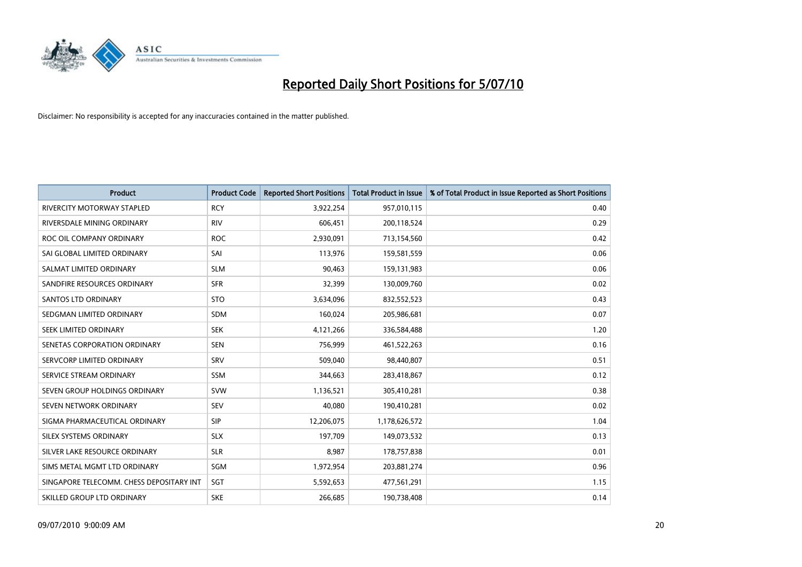

| <b>Product</b>                           | <b>Product Code</b> | <b>Reported Short Positions</b> | Total Product in Issue | % of Total Product in Issue Reported as Short Positions |
|------------------------------------------|---------------------|---------------------------------|------------------------|---------------------------------------------------------|
| <b>RIVERCITY MOTORWAY STAPLED</b>        | <b>RCY</b>          | 3,922,254                       | 957,010,115            | 0.40                                                    |
| RIVERSDALE MINING ORDINARY               | <b>RIV</b>          | 606,451                         | 200,118,524            | 0.29                                                    |
| ROC OIL COMPANY ORDINARY                 | <b>ROC</b>          | 2,930,091                       | 713,154,560            | 0.42                                                    |
| SAI GLOBAL LIMITED ORDINARY              | SAI                 | 113,976                         | 159,581,559            | 0.06                                                    |
| SALMAT LIMITED ORDINARY                  | <b>SLM</b>          | 90,463                          | 159,131,983            | 0.06                                                    |
| SANDFIRE RESOURCES ORDINARY              | <b>SFR</b>          | 32,399                          | 130,009,760            | 0.02                                                    |
| SANTOS LTD ORDINARY                      | <b>STO</b>          | 3,634,096                       | 832,552,523            | 0.43                                                    |
| SEDGMAN LIMITED ORDINARY                 | <b>SDM</b>          | 160,024                         | 205,986,681            | 0.07                                                    |
| SEEK LIMITED ORDINARY                    | <b>SEK</b>          | 4,121,266                       | 336,584,488            | 1.20                                                    |
| SENETAS CORPORATION ORDINARY             | <b>SEN</b>          | 756,999                         | 461,522,263            | 0.16                                                    |
| SERVCORP LIMITED ORDINARY                | SRV                 | 509,040                         | 98,440,807             | 0.51                                                    |
| SERVICE STREAM ORDINARY                  | <b>SSM</b>          | 344,663                         | 283,418,867            | 0.12                                                    |
| SEVEN GROUP HOLDINGS ORDINARY            | <b>SVW</b>          | 1,136,521                       | 305,410,281            | 0.38                                                    |
| SEVEN NETWORK ORDINARY                   | <b>SEV</b>          | 40,080                          | 190,410,281            | 0.02                                                    |
| SIGMA PHARMACEUTICAL ORDINARY            | <b>SIP</b>          | 12,206,075                      | 1,178,626,572          | 1.04                                                    |
| SILEX SYSTEMS ORDINARY                   | <b>SLX</b>          | 197,709                         | 149,073,532            | 0.13                                                    |
| SILVER LAKE RESOURCE ORDINARY            | <b>SLR</b>          | 8,987                           | 178,757,838            | 0.01                                                    |
| SIMS METAL MGMT LTD ORDINARY             | SGM                 | 1,972,954                       | 203,881,274            | 0.96                                                    |
| SINGAPORE TELECOMM. CHESS DEPOSITARY INT | SGT                 | 5,592,653                       | 477,561,291            | 1.15                                                    |
| SKILLED GROUP LTD ORDINARY               | <b>SKE</b>          | 266,685                         | 190,738,408            | 0.14                                                    |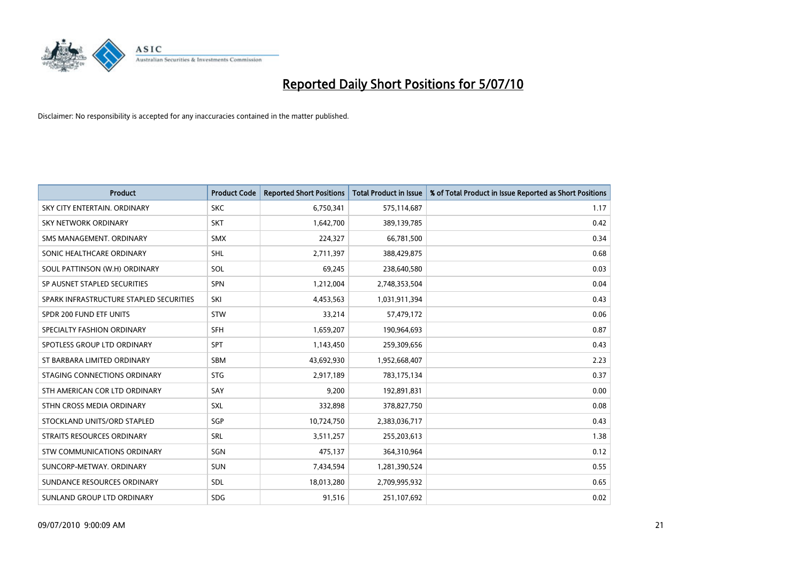

| <b>Product</b>                          | <b>Product Code</b> | <b>Reported Short Positions</b> | Total Product in Issue | % of Total Product in Issue Reported as Short Positions |
|-----------------------------------------|---------------------|---------------------------------|------------------------|---------------------------------------------------------|
| SKY CITY ENTERTAIN, ORDINARY            | <b>SKC</b>          | 6,750,341                       | 575,114,687            | 1.17                                                    |
| SKY NETWORK ORDINARY                    | <b>SKT</b>          | 1,642,700                       | 389,139,785            | 0.42                                                    |
| SMS MANAGEMENT, ORDINARY                | <b>SMX</b>          | 224,327                         | 66,781,500             | 0.34                                                    |
| SONIC HEALTHCARE ORDINARY               | <b>SHL</b>          | 2,711,397                       | 388,429,875            | 0.68                                                    |
| SOUL PATTINSON (W.H) ORDINARY           | SOL                 | 69,245                          | 238,640,580            | 0.03                                                    |
| SP AUSNET STAPLED SECURITIES            | SPN                 | 1,212,004                       | 2,748,353,504          | 0.04                                                    |
| SPARK INFRASTRUCTURE STAPLED SECURITIES | SKI                 | 4,453,563                       | 1,031,911,394          | 0.43                                                    |
| SPDR 200 FUND ETF UNITS                 | <b>STW</b>          | 33,214                          | 57,479,172             | 0.06                                                    |
| SPECIALTY FASHION ORDINARY              | <b>SFH</b>          | 1,659,207                       | 190,964,693            | 0.87                                                    |
| SPOTLESS GROUP LTD ORDINARY             | SPT                 | 1,143,450                       | 259,309,656            | 0.43                                                    |
| ST BARBARA LIMITED ORDINARY             | SBM                 | 43,692,930                      | 1,952,668,407          | 2.23                                                    |
| STAGING CONNECTIONS ORDINARY            | <b>STG</b>          | 2,917,189                       | 783,175,134            | 0.37                                                    |
| STH AMERICAN COR LTD ORDINARY           | SAY                 | 9,200                           | 192,891,831            | 0.00                                                    |
| STHN CROSS MEDIA ORDINARY               | <b>SXL</b>          | 332,898                         | 378,827,750            | 0.08                                                    |
| STOCKLAND UNITS/ORD STAPLED             | SGP                 | 10,724,750                      | 2,383,036,717          | 0.43                                                    |
| STRAITS RESOURCES ORDINARY              | SRL                 | 3,511,257                       | 255,203,613            | 1.38                                                    |
| <b>STW COMMUNICATIONS ORDINARY</b>      | SGN                 | 475,137                         | 364,310,964            | 0.12                                                    |
| SUNCORP-METWAY. ORDINARY                | <b>SUN</b>          | 7,434,594                       | 1,281,390,524          | 0.55                                                    |
| SUNDANCE RESOURCES ORDINARY             | <b>SDL</b>          | 18,013,280                      | 2,709,995,932          | 0.65                                                    |
| SUNLAND GROUP LTD ORDINARY              | <b>SDG</b>          | 91,516                          | 251,107,692            | 0.02                                                    |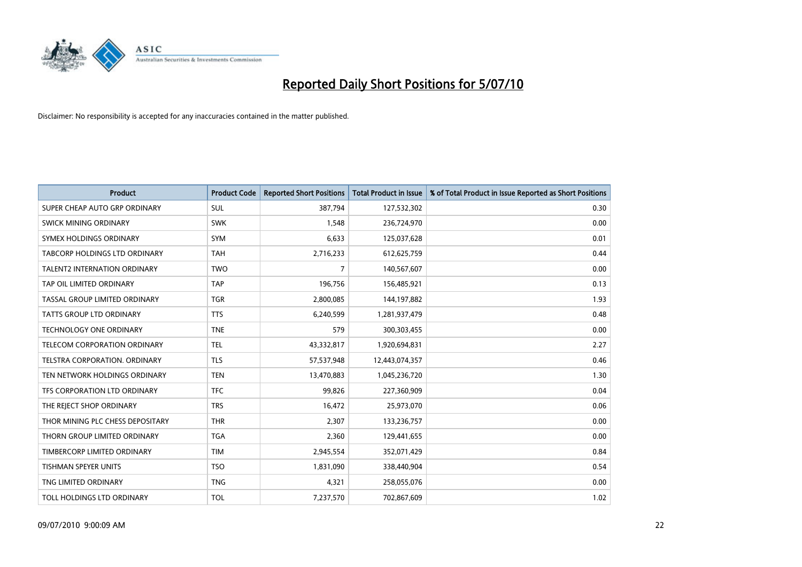

| <b>Product</b>                      | <b>Product Code</b> | <b>Reported Short Positions</b> | <b>Total Product in Issue</b> | % of Total Product in Issue Reported as Short Positions |
|-------------------------------------|---------------------|---------------------------------|-------------------------------|---------------------------------------------------------|
| SUPER CHEAP AUTO GRP ORDINARY       | <b>SUL</b>          | 387,794                         | 127,532,302                   | 0.30                                                    |
| SWICK MINING ORDINARY               | <b>SWK</b>          | 1,548                           | 236,724,970                   | 0.00                                                    |
| SYMEX HOLDINGS ORDINARY             | SYM                 | 6,633                           | 125,037,628                   | 0.01                                                    |
| TABCORP HOLDINGS LTD ORDINARY       | <b>TAH</b>          | 2,716,233                       | 612,625,759                   | 0.44                                                    |
| <b>TALENT2 INTERNATION ORDINARY</b> | <b>TWO</b>          | 7                               | 140,567,607                   | 0.00                                                    |
| TAP OIL LIMITED ORDINARY            | <b>TAP</b>          | 196,756                         | 156,485,921                   | 0.13                                                    |
| TASSAL GROUP LIMITED ORDINARY       | <b>TGR</b>          | 2,800,085                       | 144,197,882                   | 1.93                                                    |
| TATTS GROUP LTD ORDINARY            | <b>TTS</b>          | 6,240,599                       | 1,281,937,479                 | 0.48                                                    |
| TECHNOLOGY ONE ORDINARY             | <b>TNE</b>          | 579                             | 300,303,455                   | 0.00                                                    |
| TELECOM CORPORATION ORDINARY        | <b>TEL</b>          | 43,332,817                      | 1,920,694,831                 | 2.27                                                    |
| TELSTRA CORPORATION. ORDINARY       | <b>TLS</b>          | 57,537,948                      | 12,443,074,357                | 0.46                                                    |
| TEN NETWORK HOLDINGS ORDINARY       | <b>TEN</b>          | 13,470,883                      | 1,045,236,720                 | 1.30                                                    |
| TFS CORPORATION LTD ORDINARY        | <b>TFC</b>          | 99,826                          | 227,360,909                   | 0.04                                                    |
| THE REJECT SHOP ORDINARY            | <b>TRS</b>          | 16,472                          | 25,973,070                    | 0.06                                                    |
| THOR MINING PLC CHESS DEPOSITARY    | <b>THR</b>          | 2,307                           | 133,236,757                   | 0.00                                                    |
| THORN GROUP LIMITED ORDINARY        | <b>TGA</b>          | 2,360                           | 129,441,655                   | 0.00                                                    |
| TIMBERCORP LIMITED ORDINARY         | <b>TIM</b>          | 2,945,554                       | 352,071,429                   | 0.84                                                    |
| TISHMAN SPEYER UNITS                | <b>TSO</b>          | 1,831,090                       | 338,440,904                   | 0.54                                                    |
| TNG LIMITED ORDINARY                | <b>TNG</b>          | 4,321                           | 258,055,076                   | 0.00                                                    |
| TOLL HOLDINGS LTD ORDINARY          | <b>TOL</b>          | 7,237,570                       | 702,867,609                   | 1.02                                                    |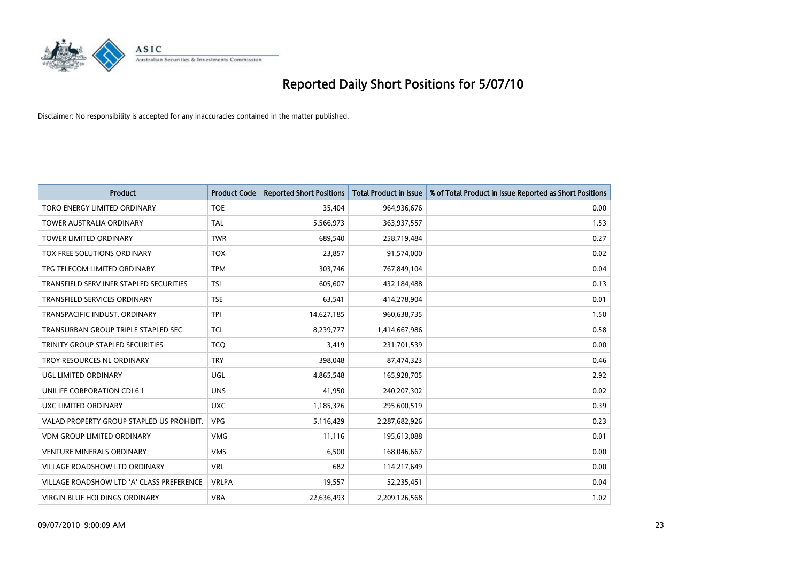

| <b>Product</b>                            | <b>Product Code</b> | <b>Reported Short Positions</b> | <b>Total Product in Issue</b> | % of Total Product in Issue Reported as Short Positions |
|-------------------------------------------|---------------------|---------------------------------|-------------------------------|---------------------------------------------------------|
| TORO ENERGY LIMITED ORDINARY              | <b>TOE</b>          | 35,404                          | 964,936,676                   | 0.00                                                    |
| TOWER AUSTRALIA ORDINARY                  | <b>TAL</b>          | 5,566,973                       | 363,937,557                   | 1.53                                                    |
| <b>TOWER LIMITED ORDINARY</b>             | <b>TWR</b>          | 689,540                         | 258,719,484                   | 0.27                                                    |
| TOX FREE SOLUTIONS ORDINARY               | <b>TOX</b>          | 23,857                          | 91,574,000                    | 0.02                                                    |
| TPG TELECOM LIMITED ORDINARY              | <b>TPM</b>          | 303,746                         | 767,849,104                   | 0.04                                                    |
| TRANSFIELD SERV INFR STAPLED SECURITIES   | <b>TSI</b>          | 605,607                         | 432,184,488                   | 0.13                                                    |
| <b>TRANSFIELD SERVICES ORDINARY</b>       | <b>TSE</b>          | 63,541                          | 414,278,904                   | 0.01                                                    |
| TRANSPACIFIC INDUST, ORDINARY             | <b>TPI</b>          | 14,627,185                      | 960,638,735                   | 1.50                                                    |
| TRANSURBAN GROUP TRIPLE STAPLED SEC.      | <b>TCL</b>          | 8,239,777                       | 1,414,667,986                 | 0.58                                                    |
| TRINITY GROUP STAPLED SECURITIES          | <b>TCO</b>          | 3,419                           | 231,701,539                   | 0.00                                                    |
| TROY RESOURCES NL ORDINARY                | <b>TRY</b>          | 398,048                         | 87,474,323                    | 0.46                                                    |
| <b>UGL LIMITED ORDINARY</b>               | UGL                 | 4,865,548                       | 165,928,705                   | 2.92                                                    |
| <b>UNILIFE CORPORATION CDI 6:1</b>        | <b>UNS</b>          | 41,950                          | 240,207,302                   | 0.02                                                    |
| <b>UXC LIMITED ORDINARY</b>               | <b>UXC</b>          | 1,185,376                       | 295,600,519                   | 0.39                                                    |
| VALAD PROPERTY GROUP STAPLED US PROHIBIT. | <b>VPG</b>          | 5,116,429                       | 2,287,682,926                 | 0.23                                                    |
| <b>VDM GROUP LIMITED ORDINARY</b>         | <b>VMG</b>          | 11,116                          | 195,613,088                   | 0.01                                                    |
| <b>VENTURE MINERALS ORDINARY</b>          | <b>VMS</b>          | 6,500                           | 168,046,667                   | 0.00                                                    |
| VILLAGE ROADSHOW LTD ORDINARY             | <b>VRL</b>          | 682                             | 114,217,649                   | 0.00                                                    |
| VILLAGE ROADSHOW LTD 'A' CLASS PREFERENCE | <b>VRLPA</b>        | 19,557                          | 52,235,451                    | 0.04                                                    |
| VIRGIN BLUE HOLDINGS ORDINARY             | <b>VBA</b>          | 22,636,493                      | 2,209,126,568                 | 1.02                                                    |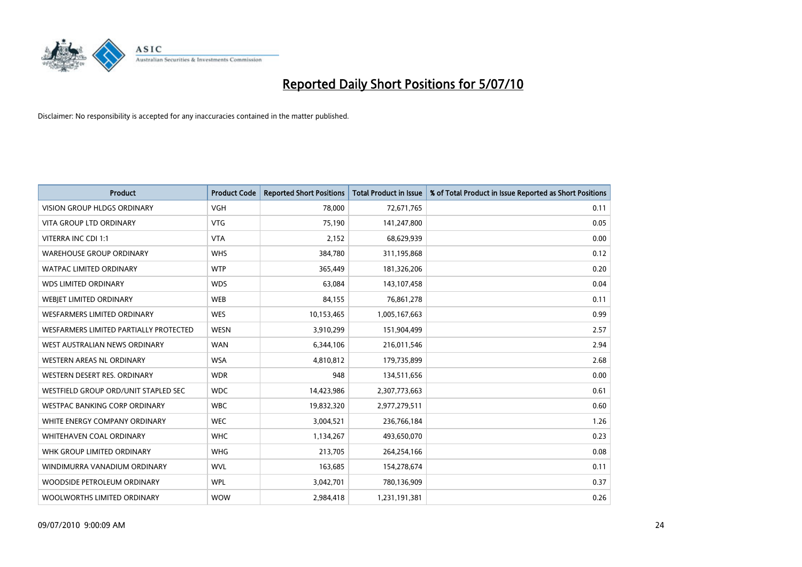

| <b>Product</b>                         | <b>Product Code</b> | <b>Reported Short Positions</b> | <b>Total Product in Issue</b> | % of Total Product in Issue Reported as Short Positions |
|----------------------------------------|---------------------|---------------------------------|-------------------------------|---------------------------------------------------------|
| <b>VISION GROUP HLDGS ORDINARY</b>     | <b>VGH</b>          | 78.000                          | 72,671,765                    | 0.11                                                    |
| VITA GROUP LTD ORDINARY                | <b>VTG</b>          | 75,190                          | 141,247,800                   | 0.05                                                    |
| VITERRA INC CDI 1:1                    | <b>VTA</b>          | 2,152                           | 68,629,939                    | 0.00                                                    |
| <b>WAREHOUSE GROUP ORDINARY</b>        | <b>WHS</b>          | 384,780                         | 311,195,868                   | 0.12                                                    |
| <b>WATPAC LIMITED ORDINARY</b>         | <b>WTP</b>          | 365,449                         | 181,326,206                   | 0.20                                                    |
| <b>WDS LIMITED ORDINARY</b>            | <b>WDS</b>          | 63,084                          | 143,107,458                   | 0.04                                                    |
| <b>WEBIET LIMITED ORDINARY</b>         | <b>WEB</b>          | 84,155                          | 76,861,278                    | 0.11                                                    |
| <b>WESFARMERS LIMITED ORDINARY</b>     | <b>WES</b>          | 10,153,465                      | 1,005,167,663                 | 0.99                                                    |
| WESFARMERS LIMITED PARTIALLY PROTECTED | <b>WESN</b>         | 3,910,299                       | 151,904,499                   | 2.57                                                    |
| WEST AUSTRALIAN NEWS ORDINARY          | <b>WAN</b>          | 6,344,106                       | 216,011,546                   | 2.94                                                    |
| WESTERN AREAS NL ORDINARY              | <b>WSA</b>          | 4,810,812                       | 179,735,899                   | 2.68                                                    |
| WESTERN DESERT RES. ORDINARY           | <b>WDR</b>          | 948                             | 134,511,656                   | 0.00                                                    |
| WESTFIELD GROUP ORD/UNIT STAPLED SEC   | <b>WDC</b>          | 14,423,986                      | 2,307,773,663                 | 0.61                                                    |
| WESTPAC BANKING CORP ORDINARY          | <b>WBC</b>          | 19,832,320                      | 2,977,279,511                 | 0.60                                                    |
| WHITE ENERGY COMPANY ORDINARY          | <b>WEC</b>          | 3,004,521                       | 236,766,184                   | 1.26                                                    |
| <b>WHITEHAVEN COAL ORDINARY</b>        | <b>WHC</b>          | 1,134,267                       | 493,650,070                   | 0.23                                                    |
| WHK GROUP LIMITED ORDINARY             | <b>WHG</b>          | 213,705                         | 264,254,166                   | 0.08                                                    |
| WINDIMURRA VANADIUM ORDINARY           | <b>WVL</b>          | 163,685                         | 154,278,674                   | 0.11                                                    |
| WOODSIDE PETROLEUM ORDINARY            | <b>WPL</b>          | 3,042,701                       | 780,136,909                   | 0.37                                                    |
| WOOLWORTHS LIMITED ORDINARY            | <b>WOW</b>          | 2,984,418                       | 1,231,191,381                 | 0.26                                                    |